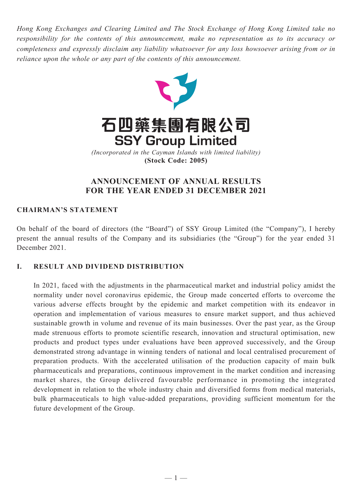*Hong Kong Exchanges and Clearing Limited and The Stock Exchange of Hong Kong Limited take no responsibility for the contents of this announcement, make no representation as to its accuracy or completeness and expressly disclaim any liability whatsoever for any loss howsoever arising from or in reliance upon the whole or any part of the contents of this announcement.*



# **ANNOUNCEMENT OF ANNUAL RESULTS FOR THE YEAR ENDED 31 DECEMBER 2021**

## **CHAIRMAN'S STATEMENT**

On behalf of the board of directors (the "Board") of SSY Group Limited (the "Company"), I hereby present the annual results of the Company and its subsidiaries (the "Group") for the year ended 31 December 2021.

## **I. RESULT AND DIVIDEND DISTRIBUTION**

In 2021, faced with the adjustments in the pharmaceutical market and industrial policy amidst the normality under novel coronavirus epidemic, the Group made concerted efforts to overcome the various adverse effects brought by the epidemic and market competition with its endeavor in operation and implementation of various measures to ensure market support, and thus achieved sustainable growth in volume and revenue of its main businesses. Over the past year, as the Group made strenuous efforts to promote scientific research, innovation and structural optimisation, new products and product types under evaluations have been approved successively, and the Group demonstrated strong advantage in winning tenders of national and local centralised procurement of preparation products. With the accelerated utilisation of the production capacity of main bulk pharmaceuticals and preparations, continuous improvement in the market condition and increasing market shares, the Group delivered favourable performance in promoting the integrated development in relation to the whole industry chain and diversified forms from medical materials, bulk pharmaceuticals to high value-added preparations, providing sufficient momentum for the future development of the Group.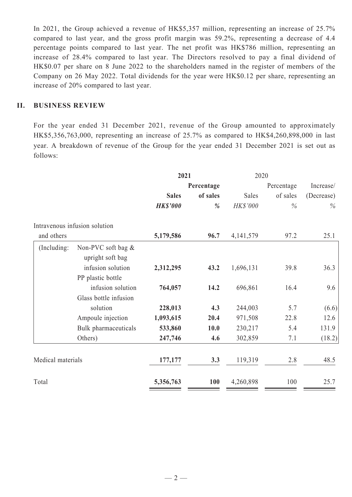In 2021, the Group achieved a revenue of HK\$5,357 million, representing an increase of 25.7% compared to last year, and the gross profit margin was 59.2%, representing a decrease of 4.4 percentage points compared to last year. The net profit was HK\$786 million, representing an increase of 28.4% compared to last year. The Directors resolved to pay a final dividend of HK\$0.07 per share on 8 June 2022 to the shareholders named in the register of members of the Company on 26 May 2022. Total dividends for the year were HK\$0.12 per share, representing an increase of 20% compared to last year.

## **II. BUSINESS REVIEW**

For the year ended 31 December 2021, revenue of the Group amounted to approximately HK\$5,356,763,000, representing an increase of 25.7% as compared to HK\$4,260,898,000 in last year. A breakdown of revenue of the Group for the year ended 31 December 2021 is set out as follows:

|                   |                                        | 2021            |            | 2020        |            |            |
|-------------------|----------------------------------------|-----------------|------------|-------------|------------|------------|
|                   |                                        |                 | Percentage |             | Percentage | Increase/  |
|                   |                                        | <b>Sales</b>    | of sales   | Sales       | of sales   | (Decrease) |
|                   |                                        | <b>HK\$'000</b> | %          | HK\$'000    | $\%$       | $\%$       |
|                   | Intravenous infusion solution          |                 |            |             |            |            |
| and others        |                                        | 5,179,586       | 96.7       | 4, 141, 579 | 97.2       | 25.1       |
| (Including:       | Non-PVC soft bag &<br>upright soft bag |                 |            |             |            |            |
|                   | infusion solution                      | 2,312,295       | 43.2       | 1,696,131   | 39.8       | 36.3       |
|                   | PP plastic bottle                      |                 |            |             |            |            |
|                   | infusion solution                      | 764,057         | 14.2       | 696,861     | 16.4       | 9.6        |
|                   | Glass bottle infusion                  |                 |            |             |            |            |
|                   | solution                               | 228,013         | 4.3        | 244,003     | 5.7        | (6.6)      |
|                   | Ampoule injection                      | 1,093,615       | 20.4       | 971,508     | 22.8       | 12.6       |
|                   | Bulk pharmaceuticals                   | 533,860         | 10.0       | 230,217     | 5.4        | 131.9      |
|                   | Others)                                | 247,746         | 4.6        | 302,859     | 7.1        | (18.2)     |
| Medical materials |                                        | 177,177         | 3.3        | 119,319     | 2.8        | 48.5       |
| Total             |                                        | 5,356,763       | 100        | 4,260,898   | 100        | 25.7       |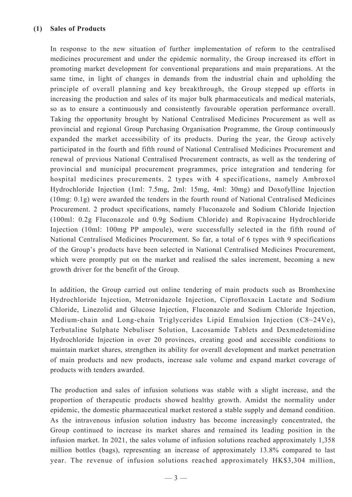In response to the new situation of further implementation of reform to the centralised medicines procurement and under the epidemic normality, the Group increased its effort in promoting market development for conventional preparations and main preparations. At the same time, in light of changes in demands from the industrial chain and upholding the principle of overall planning and key breakthrough, the Group stepped up efforts in increasing the production and sales of its major bulk pharmaceuticals and medical materials, so as to ensure a continuously and consistently favourable operation performance overall. Taking the opportunity brought by National Centralised Medicines Procurement as well as provincial and regional Group Purchasing Organisation Programme, the Group continuously expanded the market accessibility of its products. During the year, the Group actively participated in the fourth and fifth round of National Centralised Medicines Procurement and renewal of previous National Centralised Procurement contracts, as well as the tendering of provincial and municipal procurement programmes, price integration and tendering for hospital medicines procurements. 2 types with 4 specifications, namely Ambroxol Hydrochloride Injection (1ml: 7.5mg, 2ml: 15mg, 4ml: 30mg) and Doxofylline Injection (10mg: 0.1g) were awarded the tenders in the fourth round of National Centralised Medicines Procurement. 2 product specifications, namely Fluconazole and Sodium Chloride Injection (100ml: 0.2g Fluconazole and 0.9g Sodium Chloride) and Ropivacaine Hydrochloride Injection (10ml: 100mg PP ampoule), were successfully selected in the fifth round of National Centralised Medicines Procurement. So far, a total of 6 types with 9 specifications of the Group's products have been selected in National Centralised Medicines Procurement, which were promptly put on the market and realised the sales increment, becoming a new growth driver for the benefit of the Group.

In addition, the Group carried out online tendering of main products such as Bromhexine Hydrochloride Injection, Metronidazole Injection, Ciprofloxacin Lactate and Sodium Chloride, Linezolid and Glucose Injection, Fluconazole and Sodium Chloride Injection, Medium-chain and Long-chain Triglycerides Lipid Emulsion Injection (C8~24Ve), Terbutaline Sulphate Nebuliser Solution, Lacosamide Tablets and Dexmedetomidine Hydrochloride Injection in over 20 provinces, creating good and accessible conditions to maintain market shares, strengthen its ability for overall development and market penetration of main products and new products, increase sale volume and expand market coverage of products with tenders awarded.

The production and sales of infusion solutions was stable with a slight increase, and the proportion of therapeutic products showed healthy growth. Amidst the normality under epidemic, the domestic pharmaceutical market restored a stable supply and demand condition. As the intravenous infusion solution industry has become increasingly concentrated, the Group continued to increase its market shares and remained its leading position in the infusion market. In 2021, the sales volume of infusion solutions reached approximately 1,358 million bottles (bags), representing an increase of approximately 13.8% compared to last year. The revenue of infusion solutions reached approximately HK\$3,304 million,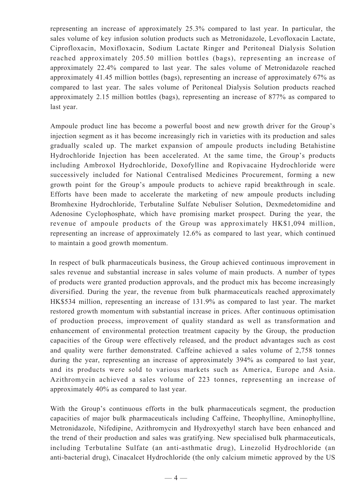representing an increase of approximately 25.3% compared to last year. In particular, the sales volume of key infusion solution products such as Metronidazole, Levofloxacin Lactate, Ciprofloxacin, Moxifloxacin, Sodium Lactate Ringer and Peritoneal Dialysis Solution reached approximately 205.50 million bottles (bags), representing an increase of approximately 22.4% compared to last year. The sales volume of Metronidazole reached approximately 41.45 million bottles (bags), representing an increase of approximately 67% as compared to last year. The sales volume of Peritoneal Dialysis Solution products reached approximately 2.15 million bottles (bags), representing an increase of 877% as compared to last year.

Ampoule product line has become a powerful boost and new growth driver for the Group's injection segment as it has become increasingly rich in varieties with its production and sales gradually scaled up. The market expansion of ampoule products including Betahistine Hydrochloride Injection has been accelerated. At the same time, the Group's products including Ambroxol Hydrochloride, Doxofylline and Ropivacaine Hydrochloride were successively included for National Centralised Medicines Procurement, forming a new growth point for the Group's ampoule products to achieve rapid breakthrough in scale. Efforts have been made to accelerate the marketing of new ampoule products including Bromhexine Hydrochloride, Terbutaline Sulfate Nebuliser Solution, Dexmedetomidine and Adenosine Cyclophosphate, which have promising market prospect. During the year, the revenue of ampoule products of the Group was approximately HK\$1,094 million, representing an increase of approximately 12.6% as compared to last year, which continued to maintain a good growth momentum.

In respect of bulk pharmaceuticals business, the Group achieved continuous improvement in sales revenue and substantial increase in sales volume of main products. A number of types of products were granted production approvals, and the product mix has become increasingly diversified. During the year, the revenue from bulk pharmaceuticals reached approximately HK\$534 million, representing an increase of 131.9% as compared to last year. The market restored growth momentum with substantial increase in prices. After continuous optimisation of production process, improvement of quality standard as well as transformation and enhancement of environmental protection treatment capacity by the Group, the production capacities of the Group were effectively released, and the product advantages such as cost and quality were further demonstrated. Caffeine achieved a sales volume of 2,758 tonnes during the year, representing an increase of approximately 394% as compared to last year, and its products were sold to various markets such as America, Europe and Asia. Azithromycin achieved a sales volume of 223 tonnes, representing an increase of approximately 40% as compared to last year.

With the Group's continuous efforts in the bulk pharmaceuticals segment, the production capacities of major bulk pharmaceuticals including Caffeine, Theophylline, Aminophylline, Metronidazole, Nifedipine, Azithromycin and Hydroxyethyl starch have been enhanced and the trend of their production and sales was gratifying. New specialised bulk pharmaceuticals, including Terbutaline Sulfate (an anti-asthmatic drug), Linezolid Hydrochloride (an anti-bacterial drug), Cinacalcet Hydrochloride (the only calcium mimetic approved by the US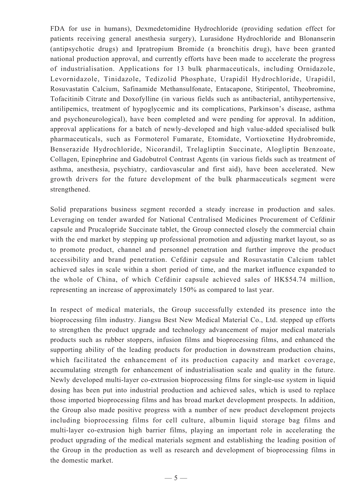FDA for use in humans), Dexmedetomidine Hydrochloride (providing sedation effect for patients receiving general anesthesia surgery), Lurasidone Hydrochloride and Blonanserin (antipsychotic drugs) and Ipratropium Bromide (a bronchitis drug), have been granted national production approval, and currently efforts have been made to accelerate the progress of industrialisation. Applications for 13 bulk pharmaceuticals, including Ornidazole, Levornidazole, Tinidazole, Tedizolid Phosphate, Urapidil Hydrochloride, Urapidil, Rosuvastatin Calcium, Safinamide Methansulfonate, Entacapone, Stiripentol, Theobromine, Tofacitinib Citrate and Doxofylline (in various fields such as antibacterial, antihypertensive, antilipemics, treatment of hypoglycemic and its complications, Parkinson's disease, asthma and psychoneurological), have been completed and were pending for approval. In addition, approval applications for a batch of newly-developed and high value-added specialised bulk pharmaceuticals, such as Formoterol Fumarate, Etomidate, Vortioxetine Hydrobromide, Benserazide Hydrochloride, Nicorandil, Trelagliptin Succinate, Alogliptin Benzoate, Collagen, Epinephrine and Gadobutrol Contrast Agents (in various fields such as treatment of asthma, anesthesia, psychiatry, cardiovascular and first aid), have been accelerated. New growth drivers for the future development of the bulk pharmaceuticals segment were strengthened.

Solid preparations business segment recorded a steady increase in production and sales. Leveraging on tender awarded for National Centralised Medicines Procurement of Cefdinir capsule and Prucalopride Succinate tablet, the Group connected closely the commercial chain with the end market by stepping up professional promotion and adjusting market layout, so as to promote product, channel and personnel penetration and further improve the product accessibility and brand penetration. Cefdinir capsule and Rosuvastatin Calcium tablet achieved sales in scale within a short period of time, and the market influence expanded to the whole of China, of which Cefdinir capsule achieved sales of HK\$54.74 million, representing an increase of approximately 150% as compared to last year.

In respect of medical materials, the Group successfully extended its presence into the bioprocessing film industry. Jiangsu Best New Medical Material Co., Ltd. stepped up efforts to strengthen the product upgrade and technology advancement of major medical materials products such as rubber stoppers, infusion films and bioprocessing films, and enhanced the supporting ability of the leading products for production in downstream production chains, which facilitated the enhancement of its production capacity and market coverage, accumulating strength for enhancement of industrialisation scale and quality in the future. Newly developed multi-layer co-extrusion bioprocessing films for single-use system in liquid dosing has been put into industrial production and achieved sales, which is used to replace those imported bioprocessing films and has broad market development prospects. In addition, the Group also made positive progress with a number of new product development projects including bioprocessing films for cell culture, albumin liquid storage bag films and multi-layer co-extrusion high barrier films, playing an important role in accelerating the product upgrading of the medical materials segment and establishing the leading position of the Group in the production as well as research and development of bioprocessing films in the domestic market.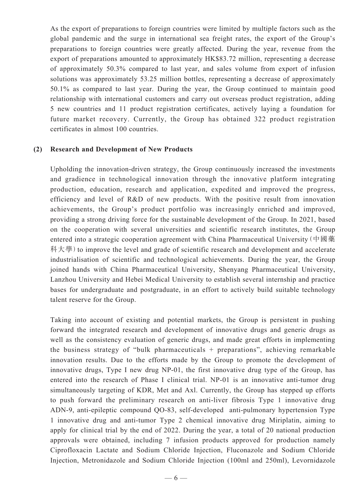As the export of preparations to foreign countries were limited by multiple factors such as the global pandemic and the surge in international sea freight rates, the export of the Group's preparations to foreign countries were greatly affected. During the year, revenue from the export of preparations amounted to approximately HK\$83.72 million, representing a decrease of approximately 50.3% compared to last year, and sales volume from export of infusion solutions was approximately 53.25 million bottles, representing a decrease of approximately 50.1% as compared to last year. During the year, the Group continued to maintain good relationship with international customers and carry out overseas product registration, adding 5 new countries and 11 product registration certificates, actively laying a foundation for future market recovery. Currently, the Group has obtained 322 product registration certificates in almost 100 countries.

#### **(2) Research and Development of New Products**

Upholding the innovation-driven strategy, the Group continuously increased the investments and gradience in technological innovation through the innovative platform integrating production, education, research and application, expedited and improved the progress, efficiency and level of R&D of new products. With the positive result from innovation achievements, the Group's product portfolio was increasingly enriched and improved, providing a strong driving force for the sustainable development of the Group. In 2021, based on the cooperation with several universities and scientific research institutes, the Group entered into a strategic cooperation agreement with China Pharmaceutical University(中國藥 科大學) to improve the level and grade of scientific research and development and accelerate industrialisation of scientific and technological achievements. During the year, the Group joined hands with China Pharmaceutical University, Shenyang Pharmaceutical University, Lanzhou University and Hebei Medical University to establish several internship and practice bases for undergraduate and postgraduate, in an effort to actively build suitable technology talent reserve for the Group.

Taking into account of existing and potential markets, the Group is persistent in pushing forward the integrated research and development of innovative drugs and generic drugs as well as the consistency evaluation of generic drugs, and made great efforts in implementing the business strategy of "bulk pharmaceuticals  $+$  preparations", achieving remarkable innovation results. Due to the efforts made by the Group to promote the development of innovative drugs, Type I new drug NP-01, the first innovative drug type of the Group, has entered into the research of Phase I clinical trial. NP-01 is an innovative anti-tumor drug simultaneously targeting of KDR, Met and Axl. Currently, the Group has stepped up efforts to push forward the preliminary research on anti-liver fibrosis Type 1 innovative drug ADN-9, anti-epileptic compound QO-83, self-developed anti-pulmonary hypertension Type 1 innovative drug and anti-tumor Type 2 chemical innovative drug Miriplatin, aiming to apply for clinical trial by the end of 2022. During the year, a total of 20 national production approvals were obtained, including 7 infusion products approved for production namely Ciprofloxacin Lactate and Sodium Chloride Injection, Fluconazole and Sodium Chloride Injection, Metronidazole and Sodium Chloride Injection (100ml and 250ml), Levornidazole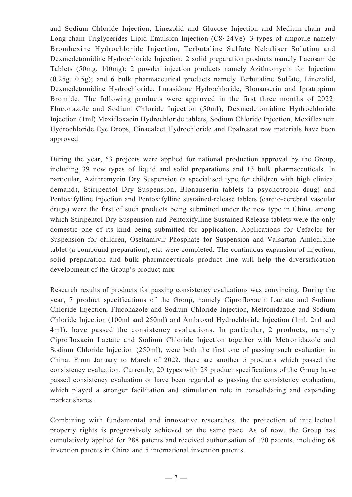and Sodium Chloride Injection, Linezolid and Glucose Injection and Medium-chain and Long-chain Triglycerides Lipid Emulsion Injection (C8~24Ve); 3 types of ampoule namely Bromhexine Hydrochloride Injection, Terbutaline Sulfate Nebuliser Solution and Dexmedetomidine Hydrochloride Injection; 2 solid preparation products namely Lacosamide Tablets (50mg, 100mg); 2 powder injection products namely Azithromycin for Injection (0.25g, 0.5g); and 6 bulk pharmaceutical products namely Terbutaline Sulfate, Linezolid, Dexmedetomidine Hydrochloride, Lurasidone Hydrochloride, Blonanserin and Ipratropium Bromide. The following products were approved in the first three months of 2022: Fluconazole and Sodium Chloride Injection (50ml), Dexmedetomidine Hydrochloride Injection (1ml) Moxifloxacin Hydrochloride tablets, Sodium Chloride Injection, Moxifloxacin Hydrochloride Eye Drops, Cinacalcet Hydrochloride and Epalrestat raw materials have been approved.

During the year, 63 projects were applied for national production approval by the Group, including 39 new types of liquid and solid preparations and 13 bulk pharmaceuticals. In particular, Azithromycin Dry Suspension (a specialised type for children with high clinical demand), Stiripentol Dry Suspension, Blonanserin tablets (a psychotropic drug) and Pentoxifylline Injection and Pentoxifylline sustained-release tablets (cardio-cerebral vascular drugs) were the first of such products being submitted under the new type in China, among which Stiripentol Dry Suspension and Pentoxifylline Sustained-Release tablets were the only domestic one of its kind being submitted for application. Applications for Cefaclor for Suspension for children, Oseltamivir Phosphate for Suspension and Valsartan Amlodipine tablet (a compound preparation), etc. were completed. The continuous expansion of injection, solid preparation and bulk pharmaceuticals product line will help the diversification development of the Group's product mix.

Research results of products for passing consistency evaluations was convincing. During the year, 7 product specifications of the Group, namely Ciprofloxacin Lactate and Sodium Chloride Injection, Fluconazole and Sodium Chloride Injection, Metronidazole and Sodium Chloride Injection (100ml and 250ml) and Ambroxol Hydrochloride Injection (1ml, 2ml and 4ml), have passed the consistency evaluations. In particular, 2 products, namely Ciprofloxacin Lactate and Sodium Chloride Injection together with Metronidazole and Sodium Chloride Injection (250ml), were both the first one of passing such evaluation in China. From January to March of 2022, there are another 5 products which passed the consistency evaluation. Currently, 20 types with 28 product specifications of the Group have passed consistency evaluation or have been regarded as passing the consistency evaluation, which played a stronger facilitation and stimulation role in consolidating and expanding market shares.

Combining with fundamental and innovative researches, the protection of intellectual property rights is progressively achieved on the same pace. As of now, the Group has cumulatively applied for 288 patents and received authorisation of 170 patents, including 68 invention patents in China and 5 international invention patents.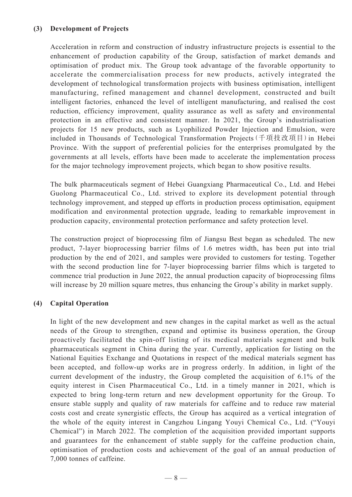## **(3) Development of Projects**

Acceleration in reform and construction of industry infrastructure projects is essential to the enhancement of production capability of the Group, satisfaction of market demands and optimisation of product mix. The Group took advantage of the favorable opportunity to accelerate the commercialisation process for new products, actively integrated the development of technological transformation projects with business optimisation, intelligent manufacturing, refined management and channel development, constructed and built intelligent factories, enhanced the level of intelligent manufacturing, and realised the cost reduction, efficiency improvement, quality assurance as well as safety and environmental protection in an effective and consistent manner. In 2021, the Group's industrialisation projects for 15 new products, such as Lyophilized Powder Injection and Emulsion, were included in Thousands of Technological Transformation Projects(千項技改項目)in Hebei Province. With the support of preferential policies for the enterprises promulgated by the governments at all levels, efforts have been made to accelerate the implementation process for the major technology improvement projects, which began to show positive results.

The bulk pharmaceuticals segment of Hebei Guangxiang Pharmaceutical Co., Ltd. and Hebei Guolong Pharmaceutical Co., Ltd. strived to explore its development potential through technology improvement, and stepped up efforts in production process optimisation, equipment modification and environmental protection upgrade, leading to remarkable improvement in production capacity, environmental protection performance and safety protection level.

The construction project of bioprocessing film of Jiangsu Best began as scheduled. The new product, 7-layer bioprocessing barrier films of 1.6 metres width, has been put into trial production by the end of 2021, and samples were provided to customers for testing. Together with the second production line for 7-layer bioprocessing barrier films which is targeted to commence trial production in June 2022, the annual production capacity of bioprocessing films will increase by 20 million square metres, thus enhancing the Group's ability in market supply.

## **(4) Capital Operation**

In light of the new development and new changes in the capital market as well as the actual needs of the Group to strengthen, expand and optimise its business operation, the Group proactively facilitated the spin-off listing of its medical materials segment and bulk pharmaceuticals segment in China during the year. Currently, application for listing on the National Equities Exchange and Quotations in respect of the medical materials segment has been accepted, and follow-up works are in progress orderly. In addition, in light of the current development of the industry, the Group completed the acquisition of 6.1% of the equity interest in Cisen Pharmaceutical Co., Ltd. in a timely manner in 2021, which is expected to bring long-term return and new development opportunity for the Group. To ensure stable supply and quality of raw materials for caffeine and to reduce raw material costs cost and create synergistic effects, the Group has acquired as a vertical integration of the whole of the equity interest in Cangzhou Lingang Youyi Chemical Co., Ltd. ("Youyi Chemical") in March 2022. The completion of the acquisition provided important supports and guarantees for the enhancement of stable supply for the caffeine production chain, optimisation of production costs and achievement of the goal of an annual production of 7,000 tonnes of caffeine.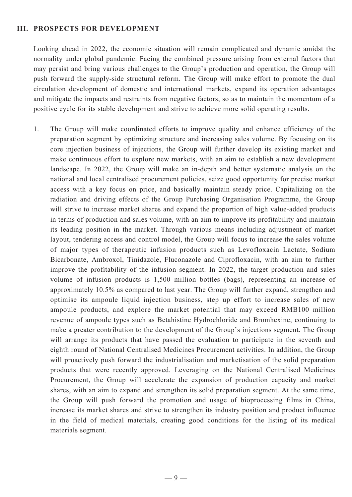#### **III. PROSPECTS FOR DEVELOPMENT**

Looking ahead in 2022, the economic situation will remain complicated and dynamic amidst the normality under global pandemic. Facing the combined pressure arising from external factors that may persist and bring various challenges to the Group's production and operation, the Group will push forward the supply-side structural reform. The Group will make effort to promote the dual circulation development of domestic and international markets, expand its operation advantages and mitigate the impacts and restraints from negative factors, so as to maintain the momentum of a positive cycle for its stable development and strive to achieve more solid operating results.

1. The Group will make coordinated efforts to improve quality and enhance efficiency of the preparation segment by optimizing structure and increasing sales volume. By focusing on its core injection business of injections, the Group will further develop its existing market and make continuous effort to explore new markets, with an aim to establish a new development landscape. In 2022, the Group will make an in-depth and better systematic analysis on the national and local centralised procurement policies, seize good opportunity for precise market access with a key focus on price, and basically maintain steady price. Capitalizing on the radiation and driving effects of the Group Purchasing Organisation Programme, the Group will strive to increase market shares and expand the proportion of high value-added products in terms of production and sales volume, with an aim to improve its profitability and maintain its leading position in the market. Through various means including adjustment of market layout, tendering access and control model, the Group will focus to increase the sales volume of major types of therapeutic infusion products such as Levofloxacin Lactate, Sodium Bicarbonate, Ambroxol, Tinidazole, Fluconazole and Ciprofloxacin, with an aim to further improve the profitability of the infusion segment. In 2022, the target production and sales volume of infusion products is 1,500 million bottles (bags), representing an increase of approximately 10.5% as compared to last year. The Group will further expand, strengthen and optimise its ampoule liquid injection business, step up effort to increase sales of new ampoule products, and explore the market potential that may exceed RMB100 million revenue of ampoule types such as Betahistine Hydrochloride and Bromhexine, continuing to make a greater contribution to the development of the Group's injections segment. The Group will arrange its products that have passed the evaluation to participate in the seventh and eighth round of National Centralised Medicines Procurement activities. In addition, the Group will proactively push forward the industrialisation and marketisation of the solid preparation products that were recently approved. Leveraging on the National Centralised Medicines Procurement, the Group will accelerate the expansion of production capacity and market shares, with an aim to expand and strengthen its solid preparation segment. At the same time, the Group will push forward the promotion and usage of bioprocessing films in China, increase its market shares and strive to strengthen its industry position and product influence in the field of medical materials, creating good conditions for the listing of its medical materials segment.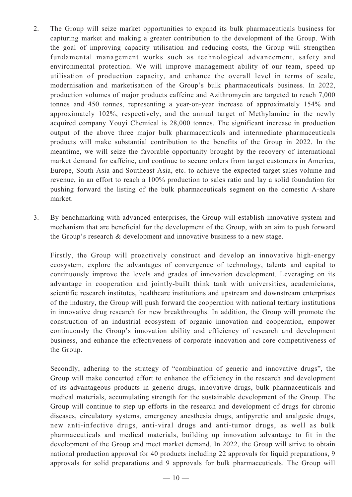- 2. The Group will seize market opportunities to expand its bulk pharmaceuticals business for capturing market and making a greater contribution to the development of the Group. With the goal of improving capacity utilisation and reducing costs, the Group will strengthen fundamental management works such as technological advancement, safety and environmental protection. We will improve management ability of our team, speed up utilisation of production capacity, and enhance the overall level in terms of scale, modernisation and marketisation of the Group's bulk pharmaceuticals business. In 2022, production volumes of major products caffeine and Azithromycin are targeted to reach 7,000 tonnes and 450 tonnes, representing a year-on-year increase of approximately 154% and approximately 102%, respectively, and the annual target of Methylamine in the newly acquired company Youyi Chemical is 28,000 tonnes. The significant increase in production output of the above three major bulk pharmaceuticals and intermediate pharmaceuticals products will make substantial contribution to the benefits of the Group in 2022. In the meantime, we will seize the favorable opportunity brought by the recovery of international market demand for caffeine, and continue to secure orders from target customers in America, Europe, South Asia and Southeast Asia, etc. to achieve the expected target sales volume and revenue, in an effort to reach a 100% production to sales ratio and lay a solid foundation for pushing forward the listing of the bulk pharmaceuticals segment on the domestic A-share market.
- 3. By benchmarking with advanced enterprises, the Group will establish innovative system and mechanism that are beneficial for the development of the Group, with an aim to push forward the Group's research & development and innovative business to a new stage.

Firstly, the Group will proactively construct and develop an innovative high-energy ecosystem, explore the advantages of convergence of technology, talents and capital to continuously improve the levels and grades of innovation development. Leveraging on its advantage in cooperation and jointly-built think tank with universities, academicians, scientific research institutes, healthcare institutions and upstream and downstream enterprises of the industry, the Group will push forward the cooperation with national tertiary institutions in innovative drug research for new breakthroughs. In addition, the Group will promote the construction of an industrial ecosystem of organic innovation and cooperation, empower continuously the Group's innovation ability and efficiency of research and development business, and enhance the effectiveness of corporate innovation and core competitiveness of the Group.

Secondly, adhering to the strategy of "combination of generic and innovative drugs", the Group will make concerted effort to enhance the efficiency in the research and development of its advantageous products in generic drugs, innovative drugs, bulk pharmaceuticals and medical materials, accumulating strength for the sustainable development of the Group. The Group will continue to step up efforts in the research and development of drugs for chronic diseases, circulatory systems, emergency anesthesia drugs, antipyretic and analgesic drugs, new anti-infective drugs, anti-viral drugs and anti-tumor drugs, as well as bulk pharmaceuticals and medical materials, building up innovation advantage to fit in the development of the Group and meet market demand. In 2022, the Group will strive to obtain national production approval for 40 products including 22 approvals for liquid preparations, 9 approvals for solid preparations and 9 approvals for bulk pharmaceuticals. The Group will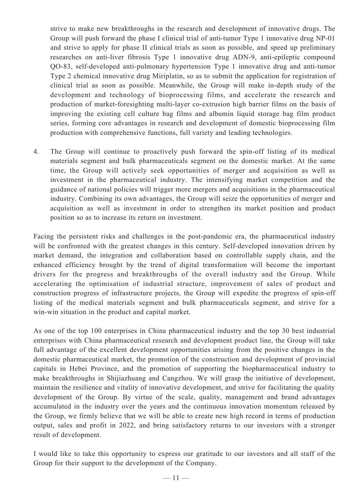strive to make new breakthroughs in the research and development of innovative drugs. The Group will push forward the phase I clinical trial of anti-tumor Type 1 innovative drug NP-01 and strive to apply for phase II clinical trials as soon as possible, and speed up preliminary researches on anti-liver fibrosis Type 1 innovative drug ADN-9, anti-epileptic compound QO-83, self-developed anti-pulmonary hypertension Type 1 innovative drug and anti-tumor Type 2 chemical innovative drug Miriplatin, so as to submit the application for registration of clinical trial as soon as possible. Meanwhile, the Group will make in-depth study of the development and technology of bioprocessing films, and accelerate the research and production of market-foresighting multi-layer co-extrusion high barrier films on the basis of improving the existing cell culture bag films and albumin liquid storage bag film product series, forming core advantages in research and development of domestic bioprocessing film production with comprehensive functions, full variety and leading technologies.

4. The Group will continue to proactively push forward the spin-off listing of its medical materials segment and bulk pharmaceuticals segment on the domestic market. At the same time, the Group will actively seek opportunities of merger and acquisition as well as investment in the pharmaceutical industry. The intensifying market competition and the guidance of national policies will trigger more mergers and acquisitions in the pharmaceutical industry. Combining its own advantages, the Group will seize the opportunities of merger and acquisition as well as investment in order to strengthen its market position and product position so as to increase its return on investment.

Facing the persistent risks and challenges in the post-pandemic era, the pharmaceutical industry will be confronted with the greatest changes in this century. Self-developed innovation driven by market demand, the integration and collaboration based on controllable supply chain, and the enhanced efficiency brought by the trend of digital transformation will become the important drivers for the progress and breakthroughs of the overall industry and the Group. While accelerating the optimisation of industrial structure, improvement of sales of product and construction progress of infrastructure projects, the Group will expedite the progress of spin-off listing of the medical materials segment and bulk pharmaceuticals segment, and strive for a win-win situation in the product and capital market.

As one of the top 100 enterprises in China pharmaceutical industry and the top 30 best industrial enterprises with China pharmaceutical research and development product line, the Group will take full advantage of the excellent development opportunities arising from the positive changes in the domestic pharmaceutical market, the promotion of the construction and development of provincial capitals in Hebei Province, and the promotion of supporting the biopharmaceutical industry to make breakthroughs in Shijiazhuang and Cangzhou. We will grasp the initiative of development, maintain the resilience and vitality of innovative development, and strive for facilitating the quality development of the Group. By virtue of the scale, quality, management and brand advantages accumulated in the industry over the years and the continuous innovation momentum released by the Group, we firmly believe that we will be able to create new high record in terms of production output, sales and profit in 2022, and bring satisfactory returns to our investors with a stronger result of development.

I would like to take this opportunity to express our gratitude to our investors and all staff of the Group for their support to the development of the Company.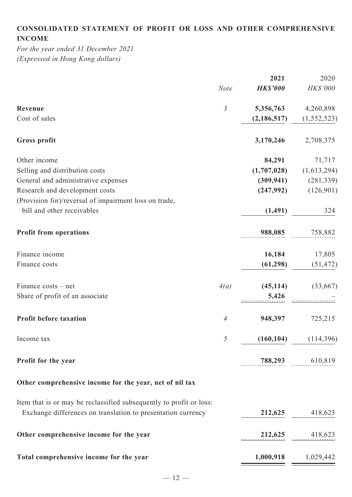# **CONSOLIDATED STATEMENT OF PROFIT OR LOSS AND OTHER COMPREHENSIVE INCOME**

*For the year ended 31 December 2021 (Expressed in Hong Kong dollars)*

| <b>HK\$'000</b><br>5,356,763<br>(2, 186, 517)<br>3,170,246 | HK\$'000<br>4,260,898<br>(1, 552, 523)<br>2,708,375 |
|------------------------------------------------------------|-----------------------------------------------------|
|                                                            |                                                     |
|                                                            |                                                     |
|                                                            |                                                     |
|                                                            |                                                     |
| 84,291                                                     | 71,717                                              |
| (1,707,028)                                                | (1,613,294)                                         |
| (309, 941)                                                 | (281, 339)                                          |
| (247,992)                                                  | (126,901)                                           |
|                                                            |                                                     |
| (1, 491)                                                   | 324                                                 |
| 988,085                                                    | 758,882                                             |
| 16,184                                                     | 17,805                                              |
| (61, 298)                                                  | (51, 472)                                           |
| (45, 114)                                                  | (33,667)                                            |
| 5,426                                                      |                                                     |
| 948,397                                                    | 725,215                                             |
| (160, 104)                                                 | (114,396)                                           |
|                                                            | 788,293 610,819                                     |
|                                                            |                                                     |
|                                                            |                                                     |
|                                                            |                                                     |
|                                                            | 212,625 418,623                                     |
| $1,000,918$ $1,029,442$                                    |                                                     |
|                                                            | 212,625 418,623                                     |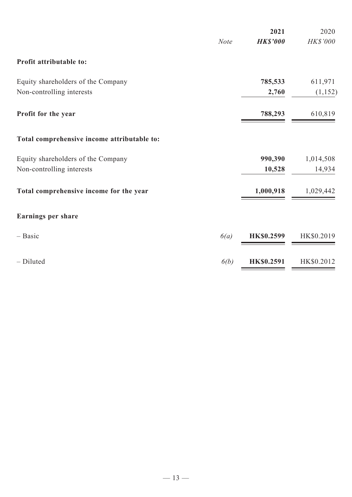|                                             | <b>Note</b> | 2021<br><b>HK\$'000</b> | 2020<br>HK\$'000 |
|---------------------------------------------|-------------|-------------------------|------------------|
| Profit attributable to:                     |             |                         |                  |
| Equity shareholders of the Company          |             | 785,533                 | 611,971          |
| Non-controlling interests                   |             | 2,760                   | (1, 152)         |
| Profit for the year                         |             | 788,293                 | 610,819          |
| Total comprehensive income attributable to: |             |                         |                  |
| Equity shareholders of the Company          |             | 990,390                 | 1,014,508        |
| Non-controlling interests                   |             | 10,528                  | 14,934           |
| Total comprehensive income for the year     |             | 1,000,918               | 1,029,442        |
| <b>Earnings per share</b>                   |             |                         |                  |
| $-$ Basic                                   | 6(a)        | <b>HK\$0.2599</b>       | HK\$0.2019       |
| - Diluted                                   | 6(b)        | <b>HK\$0.2591</b>       | HK\$0.2012       |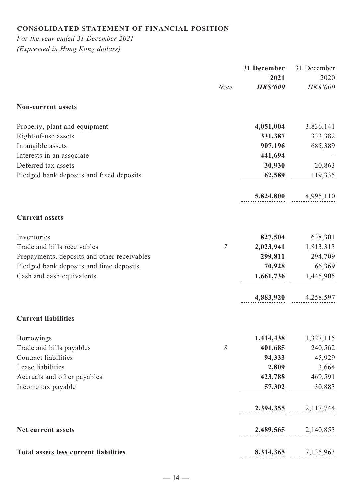# **CONSOLIDATED STATEMENT OF FINANCIAL POSITION**

*For the year ended 31 December 2021 (Expressed in Hong Kong dollars)*

|                                              |             | 31 December     | 31 December             |
|----------------------------------------------|-------------|-----------------|-------------------------|
|                                              |             | 2021            | 2020                    |
|                                              | <b>Note</b> | <b>HK\$'000</b> | HK\$'000                |
| <b>Non-current assets</b>                    |             |                 |                         |
| Property, plant and equipment                |             | 4,051,004       | 3,836,141               |
| Right-of-use assets                          |             | 331,387         | 333,382                 |
| Intangible assets                            |             | 907,196         | 685,389                 |
| Interests in an associate                    |             | 441,694         |                         |
| Deferred tax assets                          |             | 30,930          | 20,863                  |
| Pledged bank deposits and fixed deposits     |             | 62,589          | 119,335                 |
|                                              |             | 5,824,800       | 4,995,110               |
| <b>Current assets</b>                        |             |                 |                         |
| Inventories                                  |             | 827,504         | 638,301                 |
| Trade and bills receivables                  | 7           | 2,023,941       | 1,813,313               |
| Prepayments, deposits and other receivables  |             | 299,811         | 294,709                 |
| Pledged bank deposits and time deposits      |             | 70,928          | 66,369                  |
| Cash and cash equivalents                    |             | 1,661,736       | 1,445,905               |
|                                              |             | 4,883,920       | 4,258,597               |
| <b>Current liabilities</b>                   |             |                 |                         |
| <b>Borrowings</b>                            |             | 1,414,438       | 1,327,115               |
| Trade and bills payables                     | 8           | 401,685         | 240,562                 |
| Contract liabilities                         |             | 94,333          | 45,929                  |
| Lease liabilities                            |             | 2,809           | 3,664                   |
| Accruals and other payables                  |             | 423,788         | 469,591                 |
| Income tax payable                           |             | 57,302          | 30,883                  |
|                                              |             | 2,394,355       | 2,117,744               |
| Net current assets                           |             |                 | $2,489,565$ $2,140,853$ |
| <b>Total assets less current liabilities</b> |             |                 | 8,314,365 7,135,963     |
|                                              |             |                 |                         |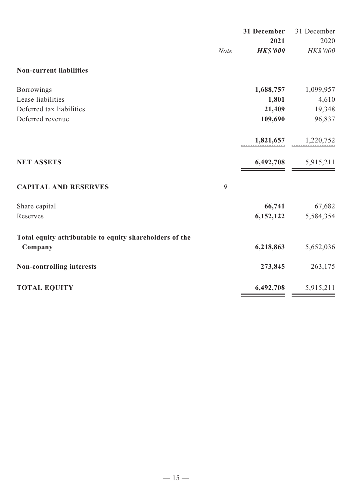|                                                         |             | 31 December<br>2021 | 31 December<br>2020 |
|---------------------------------------------------------|-------------|---------------------|---------------------|
|                                                         | <b>Note</b> | <b>HK\$'000</b>     | HK\$'000            |
| <b>Non-current liabilities</b>                          |             |                     |                     |
| Borrowings                                              |             | 1,688,757           | 1,099,957           |
| Lease liabilities                                       |             | 1,801               | 4,610               |
| Deferred tax liabilities                                |             | 21,409              | 19,348              |
| Deferred revenue                                        |             | 109,690             | 96,837              |
|                                                         |             | 1,821,657           | 1,220,752           |
| <b>NET ASSETS</b>                                       |             | 6,492,708           | 5,915,211           |
| <b>CAPITAL AND RESERVES</b>                             | 9           |                     |                     |
| Share capital                                           |             | 66,741              | 67,682              |
| Reserves                                                |             | 6,152,122           | 5,584,354           |
| Total equity attributable to equity shareholders of the |             |                     |                     |
| Company                                                 |             | 6,218,863           | 5,652,036           |
| Non-controlling interests                               |             | 273,845             | 263,175             |
| <b>TOTAL EQUITY</b>                                     |             | 6,492,708           | 5,915,211           |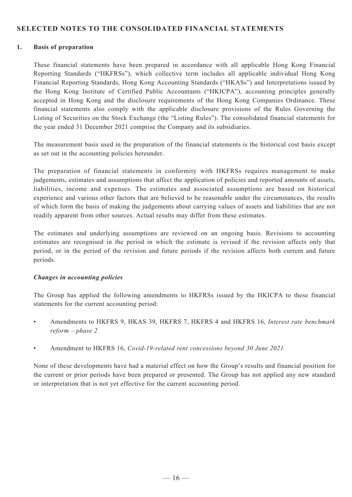## **SELECTED NOTES TO THE CONSOLIDATED FINANCIAL STATEMENTS**

#### **1. Basis of preparation**

These financial statements have been prepared in accordance with all applicable Hong Kong Financial Reporting Standards ("HKFRSs"), which collective term includes all applicable individual Hong Kong Financial Reporting Standards, Hong Kong Accounting Standards ("HKASs") and Interpretations issued by the Hong Kong Institute of Certified Public Accountants ("HKICPA"), accounting principles generally accepted in Hong Kong and the disclosure requirements of the Hong Kong Companies Ordinance. These financial statements also comply with the applicable disclosure provisions of the Rules Governing the Listing of Securities on the Stock Exchange (the "Listing Rules"). The consolidated financial statements for the year ended 31 December 2021 comprise the Company and its subsidiaries.

The measurement basis used in the preparation of the financial statements is the historical cost basis except as set out in the accounting policies hereunder.

The preparation of financial statements in conformity with HKFRSs requires management to make judgements, estimates and assumptions that affect the application of policies and reported amounts of assets, liabilities, income and expenses. The estimates and associated assumptions are based on historical experience and various other factors that are believed to be reasonable under the circumstances, the results of which form the basis of making the judgements about carrying values of assets and liabilities that are not readily apparent from other sources. Actual results may differ from these estimates.

The estimates and underlying assumptions are reviewed on an ongoing basis. Revisions to accounting estimates are recognised in the period in which the estimate is revised if the revision affects only that period, or in the period of the revision and future periods if the revision affects both current and future periods.

#### *Changes in accounting policies*

The Group has applied the following amendments to HKFRSs issued by the HKICPA to these financial statements for the current accounting period:

- Amendments to HKFRS 9, HKAS 39, HKFRS 7, HKFRS 4 and HKFRS 16, *Interest rate benchmark reform – phase 2*
- Amendment to HKFRS 16, *Covid-19-related rent concessions beyond 30 June 2021*

None of these developments have had a material effect on how the Group's results and financial position for the current or prior periods have been prepared or presented. The Group has not applied any new standard or interpretation that is not yet effective for the current accounting period.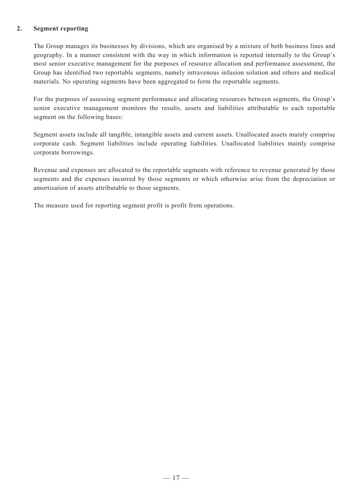#### **2. Segment reporting**

The Group manages its businesses by divisions, which are organised by a mixture of both business lines and geography. In a manner consistent with the way in which information is reported internally to the Group's most senior executive management for the purposes of resource allocation and performance assessment, the Group has identified two reportable segments, namely intravenous infusion solution and others and medical materials. No operating segments have been aggregated to form the reportable segments.

For the purposes of assessing segment performance and allocating resources between segments, the Group's senior executive management monitors the results, assets and liabilities attributable to each reportable segment on the following bases:

Segment assets include all tangible, intangible assets and current assets. Unallocated assets mainly comprise corporate cash. Segment liabilities include operating liabilities. Unallocated liabilities mainly comprise corporate borrowings.

Revenue and expenses are allocated to the reportable segments with reference to revenue generated by those segments and the expenses incurred by those segments or which otherwise arise from the depreciation or amortisation of assets attributable to those segments.

The measure used for reporting segment profit is profit from operations.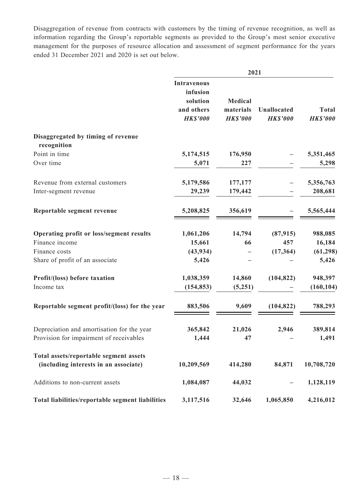Disaggregation of revenue from contracts with customers by the timing of revenue recognition, as well as information regarding the Group's reportable segments as provided to the Group's most senior executive management for the purposes of resource allocation and assessment of segment performance for the years ended 31 December 2021 and 2020 is set out below.

|                                                                                 | 2021                                                                        |                                                |                                       |                                 |
|---------------------------------------------------------------------------------|-----------------------------------------------------------------------------|------------------------------------------------|---------------------------------------|---------------------------------|
|                                                                                 | <b>Intravenous</b><br>infusion<br>solution<br>and others<br><b>HK\$'000</b> | <b>Medical</b><br>materials<br><b>HK\$'000</b> | <b>Unallocated</b><br><b>HK\$'000</b> | <b>Total</b><br><b>HK\$'000</b> |
| Disaggregated by timing of revenue                                              |                                                                             |                                                |                                       |                                 |
| recognition                                                                     |                                                                             |                                                |                                       |                                 |
| Point in time                                                                   | 5,174,515                                                                   | 176,950                                        |                                       | 5,351,465                       |
| Over time                                                                       | 5,071                                                                       | 227                                            |                                       | 5,298                           |
| Revenue from external customers                                                 | 5,179,586                                                                   | 177,177                                        |                                       | 5,356,763                       |
| Inter-segment revenue                                                           | 29,239                                                                      | 179,442                                        |                                       | 208,681                         |
| Reportable segment revenue                                                      | 5,208,825                                                                   | 356,619                                        |                                       | 5,565,444                       |
| <b>Operating profit or loss/segment results</b>                                 | 1,061,206                                                                   | 14,794                                         | (87, 915)                             | 988,085                         |
| Finance income                                                                  | 15,661                                                                      | 66                                             | 457                                   | 16,184                          |
| Finance costs                                                                   | (43, 934)                                                                   |                                                | (17, 364)                             | (61, 298)                       |
| Share of profit of an associate                                                 | 5,426                                                                       |                                                |                                       | 5,426                           |
| Profit/(loss) before taxation                                                   | 1,038,359                                                                   | 14,860                                         | (104, 822)                            | 948,397                         |
| Income tax                                                                      | (154, 853)                                                                  | (5,251)                                        |                                       | (160, 104)                      |
| Reportable segment profit/(loss) for the year                                   | 883,506                                                                     | 9,609                                          | (104, 822)                            | 788,293                         |
| Depreciation and amortisation for the year                                      | 365,842                                                                     | 21,026                                         | 2,946                                 | 389,814                         |
| Provision for impairment of receivables                                         | 1,444                                                                       | 47                                             |                                       | 1,491                           |
| Total assets/reportable segment assets<br>(including interests in an associate) | 10,209,569                                                                  | 414,280                                        | 84,871                                | 10,708,720                      |
| Additions to non-current assets                                                 | 1,084,087                                                                   | 44,032                                         |                                       | 1,128,119                       |
| Total liabilities/reportable segment liabilities                                | 3,117,516                                                                   | 32,646                                         | 1,065,850                             | 4,216,012                       |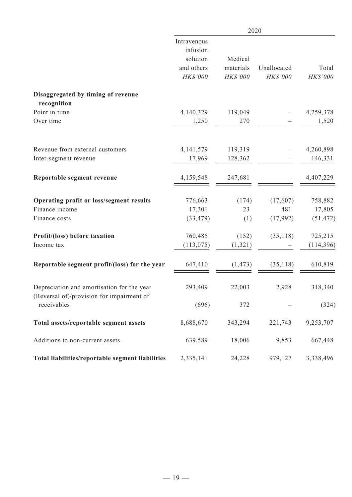|                                                                                         | 2020                                                          |                                  |                         |                   |
|-----------------------------------------------------------------------------------------|---------------------------------------------------------------|----------------------------------|-------------------------|-------------------|
|                                                                                         | Intravenous<br>infusion<br>solution<br>and others<br>HK\$'000 | Medical<br>materials<br>HK\$'000 | Unallocated<br>HK\$'000 | Total<br>HK\$'000 |
| Disaggregated by timing of revenue                                                      |                                                               |                                  |                         |                   |
| recognition                                                                             |                                                               |                                  |                         |                   |
| Point in time                                                                           | 4,140,329                                                     | 119,049                          |                         | 4,259,378         |
| Over time                                                                               | 1,250                                                         | 270                              |                         | 1,520             |
| Revenue from external customers                                                         | 4,141,579                                                     | 119,319                          |                         | 4,260,898         |
| Inter-segment revenue                                                                   | 17,969                                                        | 128,362                          |                         | 146,331           |
| Reportable segment revenue                                                              | 4,159,548                                                     | 247,681                          |                         | 4,407,229         |
| Operating profit or loss/segment results                                                | 776,663                                                       | (174)                            | (17,607)                | 758,882           |
| Finance income                                                                          | 17,301                                                        | 23                               | 481                     | 17,805            |
| Finance costs                                                                           | (33, 479)                                                     | (1)                              | (17,992)                | (51, 472)         |
| Profit/(loss) before taxation                                                           | 760,485                                                       | (152)                            | (35, 118)               | 725,215           |
| Income tax                                                                              | (113, 075)                                                    | (1,321)                          |                         | (114,396)         |
| Reportable segment profit/(loss) for the year                                           | 647,410                                                       | (1, 473)                         | (35, 118)               | 610,819           |
| Depreciation and amortisation for the year<br>(Reversal of)/provision for impairment of | 293,409                                                       | 22,003                           | 2,928                   | 318,340           |
| receivables                                                                             | (696)                                                         | 372                              |                         | (324)             |
| Total assets/reportable segment assets                                                  | 8,688,670                                                     | 343,294                          | 221,743                 | 9,253,707         |
| Additions to non-current assets                                                         | 639,589                                                       | 18,006                           | 9,853                   | 667,448           |
| Total liabilities/reportable segment liabilities                                        | 2,335,141                                                     | 24,228                           | 979,127                 | 3,338,496         |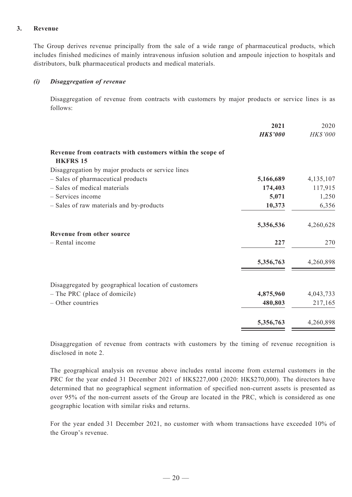#### **3. Revenue**

The Group derives revenue principally from the sale of a wide range of pharmaceutical products, which includes finished medicines of mainly intravenous infusion solution and ampoule injection to hospitals and distributors, bulk pharmaceutical products and medical materials.

#### *(i) Disaggregation of revenue*

Disaggregation of revenue from contracts with customers by major products or service lines is as follows:

|                                                                              | 2021            | 2020      |
|------------------------------------------------------------------------------|-----------------|-----------|
|                                                                              | <b>HK\$'000</b> | HK\$'000  |
| Revenue from contracts with customers within the scope of<br><b>HKFRS 15</b> |                 |           |
| Disaggregation by major products or service lines                            |                 |           |
| - Sales of pharmaceutical products                                           | 5,166,689       | 4,135,107 |
| - Sales of medical materials                                                 | 174,403         | 117,915   |
| - Services income                                                            | 5,071           | 1,250     |
| - Sales of raw materials and by-products                                     | 10,373          | 6,356     |
|                                                                              | 5,356,536       | 4,260,628 |
| Revenue from other source                                                    |                 |           |
| - Rental income                                                              | 227             | 270       |
|                                                                              | 5,356,763       | 4,260,898 |
| Disaggregated by geographical location of customers                          |                 |           |
| $-$ The PRC (place of domicile)                                              | 4,875,960       | 4,043,733 |
| - Other countries                                                            | 480,803         | 217,165   |
|                                                                              | 5,356,763       | 4,260,898 |

Disaggregation of revenue from contracts with customers by the timing of revenue recognition is disclosed in note 2.

The geographical analysis on revenue above includes rental income from external customers in the PRC for the year ended 31 December 2021 of HK\$227,000 (2020: HK\$270,000). The directors have determined that no geographical segment information of specified non-current assets is presented as over 95% of the non-current assets of the Group are located in the PRC, which is considered as one geographic location with similar risks and returns.

For the year ended 31 December 2021, no customer with whom transactions have exceeded 10% of the Group's revenue.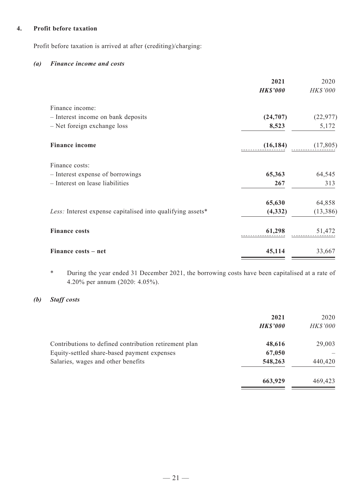#### **4. Profit before taxation**

Profit before taxation is arrived at after (crediting)/charging:

#### *(a) Finance income and costs*

|                                                            | 2021            | 2020      |
|------------------------------------------------------------|-----------------|-----------|
|                                                            | <b>HK\$'000</b> | HK\$'000  |
| Finance income:                                            |                 |           |
| - Interest income on bank deposits                         | (24,707)        | (22, 977) |
| - Net foreign exchange loss                                | 8,523           | 5,172     |
| <b>Finance income</b>                                      | (16, 184)       | (17,805)  |
| Finance costs:                                             |                 |           |
| - Interest expense of borrowings                           | 65,363          | 64,545    |
| - Interest on lease liabilities                            | 267             | 313       |
|                                                            | 65,630          | 64,858    |
| Less: Interest expense capitalised into qualifying assets* | (4,332)         | (13, 386) |
| <b>Finance costs</b>                                       | 61,298          | 51,472    |
| Finance costs – net                                        | 45,114          | 33,667    |

\* During the year ended 31 December 2021, the borrowing costs have been capitalised at a rate of 4.20% per annum (2020: 4.05%).

## *(b) Staff costs*

|                                                       | 2021<br><b>HK\$'000</b> | 2020<br><b>HK\$'000</b> |
|-------------------------------------------------------|-------------------------|-------------------------|
| Contributions to defined contribution retirement plan | 48,616                  | 29,003                  |
| Equity-settled share-based payment expenses           | 67,050                  |                         |
| Salaries, wages and other benefits                    | 548,263                 | 440,420                 |
|                                                       | 663,929                 | 469,423                 |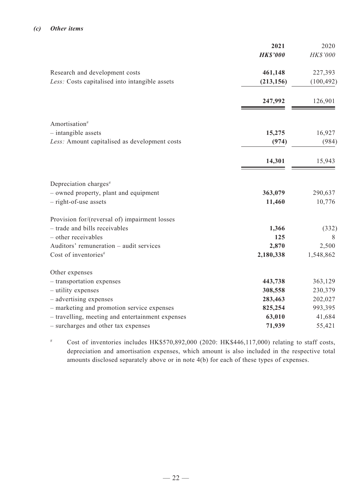#### *(c) Other items*

|                                                  | 2021            | 2020       |
|--------------------------------------------------|-----------------|------------|
|                                                  | <b>HK\$'000</b> | HK\$'000   |
| Research and development costs                   | 461,148         | 227,393    |
| Less: Costs capitalised into intangible assets   | (213, 156)      | (100, 492) |
|                                                  | 247,992         | 126,901    |
| Amortisation <sup>#</sup>                        |                 |            |
| - intangible assets                              | 15,275          | 16,927     |
| Less: Amount capitalised as development costs    | (974)           | (984)      |
|                                                  | 14,301          | 15,943     |
| Depreciation charges <sup>#</sup>                |                 |            |
| - owned property, plant and equipment            | 363,079         | 290,637    |
| $-$ right-of-use assets                          | 11,460          | 10,776     |
| Provision for/(reversal of) impairment losses    |                 |            |
| - trade and bills receivables                    | 1,366           | (332)      |
| - other receivables                              | 125             | 8          |
| Auditors' remuneration - audit services          | 2,870           | 2,500      |
| Cost of inventories <sup>#</sup>                 | 2,180,338       | 1,548,862  |
| Other expenses                                   |                 |            |
| - transportation expenses                        | 443,738         | 363,129    |
| - utility expenses                               | 308,558         | 230,379    |
| - advertising expenses                           | 283,463         | 202,027    |
| - marketing and promotion service expenses       | 825,254         | 993,395    |
| - travelling, meeting and entertainment expenses | 63,010          | 41,684     |
| - surcharges and other tax expenses              | 71,939          | 55,421     |

# Cost of inventories includes HK\$570,892,000 (2020: HK\$446,117,000) relating to staff costs, depreciation and amortisation expenses, which amount is also included in the respective total amounts disclosed separately above or in note 4(b) for each of these types of expenses.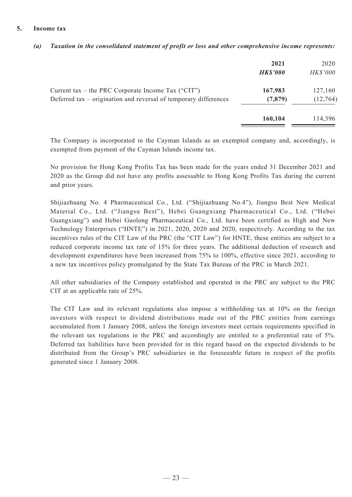#### **5. Income tax**

|                                                                                                                        | 2021<br><b>HK\$'000</b> | 2020<br><b>HK\$'000</b> |
|------------------------------------------------------------------------------------------------------------------------|-------------------------|-------------------------|
| Current tax – the PRC Corporate Income Tax ("CIT")<br>Deferred tax – origination and reversal of temporary differences | 167,983<br>(7,879)      | 127,160<br>(12, 764)    |
|                                                                                                                        | 160,104                 | 114,396                 |

#### *(a) Taxation in the consolidated statement of profit or loss and other comprehensive income represents:*

The Company is incorporated in the Cayman Islands as an exempted company and, accordingly, is exempted from payment of the Cayman Islands income tax.

No provision for Hong Kong Profits Tax has been made for the years ended 31 December 2021 and 2020 as the Group did not have any profits assessable to Hong Kong Profits Tax during the current and prior years.

Shijiazhuang No. 4 Pharmaceutical Co., Ltd. ("Shijiazhuang No.4"), Jiangsu Best New Medical Material Co., Ltd. ("Jiangsu Best"), Hebei Guangxiang Pharmaceutical Co., Ltd. ("Hebei Guangxiang") and Hebei Guolong Pharmaceutical Co., Ltd. have been certified as High and New Technology Enterprises ("HNTE") in 2021, 2020, 2020 and 2020, respectively. According to the tax incentives rules of the CIT Law of the PRC (the "CIT Law") for HNTE, these entities are subject to a reduced corporate income tax rate of 15% for three years. The additional deduction of research and development expenditures have been increased from 75% to 100%, effective since 2021, according to a new tax incentives policy promulgated by the State Tax Bureau of the PRC in March 2021.

All other subsidiaries of the Company established and operated in the PRC are subject to the PRC CIT at an applicable rate of 25%.

The CIT Law and its relevant regulations also impose a withholding tax at 10% on the foreign investors with respect to dividend distributions made out of the PRC entities from earnings accumulated from 1 January 2008, unless the foreign investors meet certain requirements specified in the relevant tax regulations in the PRC and accordingly are entitled to a preferential rate of 5%. Deferred tax liabilities have been provided for in this regard based on the expected dividends to be distributed from the Group's PRC subsidiaries in the foreseeable future in respect of the profits generated since 1 January 2008.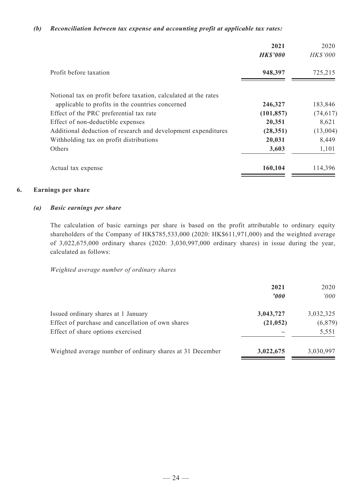#### *(b) Reconciliation between tax expense and accounting profit at applicable tax rates:*

|                                                                 | 2021<br><b>HKS'000</b> | 2020<br><b>HK\$'000</b> |
|-----------------------------------------------------------------|------------------------|-------------------------|
| Profit before taxation                                          | 948,397                | 725,215                 |
| Notional tax on profit before taxation, calculated at the rates |                        |                         |
| applicable to profits in the countries concerned                | 246,327                | 183,846                 |
| Effect of the PRC preferential tax rate                         | (101, 857)             | (74, 617)               |
| Effect of non-deductible expenses                               | 20,351                 | 8,621                   |
| Additional deduction of research and development expenditures   | (28, 351)              | (13,004)                |
| Withholding tax on profit distributions                         | 20,031                 | 8,449                   |
| Others                                                          | 3,603                  | 1,101                   |
| Actual tax expense                                              | 160,104                | 114,396                 |

#### **6. Earnings per share**

#### *(a) Basic earnings per share*

The calculation of basic earnings per share is based on the profit attributable to ordinary equity shareholders of the Company of HK\$785,533,000 (2020: HK\$611,971,000) and the weighted average of 3,022,675,000 ordinary shares (2020: 3,030,997,000 ordinary shares) in issue during the year, calculated as follows:

#### *Weighted average number of ordinary shares*

|                                                           | 2021<br>'000 | 2020<br>000' |
|-----------------------------------------------------------|--------------|--------------|
| Issued ordinary shares at 1 January                       | 3,043,727    | 3,032,325    |
| Effect of purchase and cancellation of own shares         | (21, 052)    | (6,879)      |
| Effect of share options exercised                         |              | 5,551        |
| Weighted average number of ordinary shares at 31 December | 3,022,675    | 3,030,997    |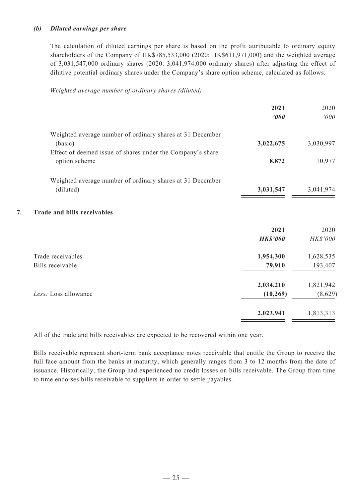#### *(b) Diluted earnings per share*

The calculation of diluted earnings per share is based on the profit attributable to ordinary equity shareholders of the Company of HK\$785,533,000 (2020: HK\$611,971,000) and the weighted average of 3,031,547,000 ordinary shares (2020: 3,041,974,000 ordinary shares) after adjusting the effect of dilutive potential ordinary shares under the Company's share option scheme, calculated as follows:

#### *Weighted average number of ordinary shares (diluted)*

|                                                            | 2021<br>'000    | 2020<br>000'    |
|------------------------------------------------------------|-----------------|-----------------|
| Weighted average number of ordinary shares at 31 December  |                 |                 |
| (basic)                                                    | 3,022,675       | 3,030,997       |
| Effect of deemed issue of shares under the Company's share |                 |                 |
| option scheme                                              | 8,872           | 10,977          |
| Weighted average number of ordinary shares at 31 December  |                 |                 |
| (diluted)                                                  | 3,031,547       | 3,041,974       |
| <b>Trade and bills receivables</b>                         |                 |                 |
|                                                            | 2021            | 2020            |
|                                                            | <b>HK\$'000</b> | <b>HK\$'000</b> |
| Trade receivables                                          | 1,954,300       | 1,628,535       |
| Bills receivable                                           | 79,910          | 193,407         |
|                                                            | 2,034,210       | 1,821,942       |
| Less: Loss allowance                                       | (10, 269)       | (8,629)         |
|                                                            | 2,023,941       | 1,813,313       |
|                                                            |                 |                 |

All of the trade and bills receivables are expected to be recovered within one year.

Bills receivable represent short-term bank acceptance notes receivable that entitle the Group to receive the full face amount from the banks at maturity, which generally ranges from 3 to 12 months from the date of issuance. Historically, the Group had experienced no credit losses on bills receivable. The Group from time to time endorses bills receivable to suppliers in order to settle payables.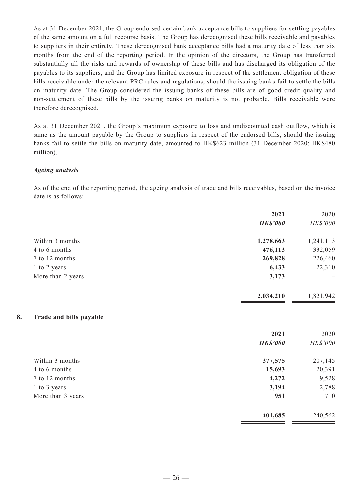As at 31 December 2021, the Group endorsed certain bank acceptance bills to suppliers for settling payables of the same amount on a full recourse basis. The Group has derecognised these bills receivable and payables to suppliers in their entirety. These derecognised bank acceptance bills had a maturity date of less than six months from the end of the reporting period. In the opinion of the directors, the Group has transferred substantially all the risks and rewards of ownership of these bills and has discharged its obligation of the payables to its suppliers, and the Group has limited exposure in respect of the settlement obligation of these bills receivable under the relevant PRC rules and regulations, should the issuing banks fail to settle the bills on maturity date. The Group considered the issuing banks of these bills are of good credit quality and non-settlement of these bills by the issuing banks on maturity is not probable. Bills receivable were therefore derecognised.

As at 31 December 2021, the Group's maximum exposure to loss and undiscounted cash outflow, which is same as the amount payable by the Group to suppliers in respect of the endorsed bills, should the issuing banks fail to settle the bills on maturity date, amounted to HK\$623 million (31 December 2020: HK\$480 million).

#### *Ageing analysis*

As of the end of the reporting period, the ageing analysis of trade and bills receivables, based on the invoice date is as follows:

| HK\$'000  |
|-----------|
|           |
| 1,241,113 |
| 332,059   |
| 226,460   |
| 22,310    |
|           |
| 1,821,942 |
|           |
| 2020      |
| HK\$'000  |
| 207,145   |
| 20,391    |
| 9,528     |
| 2,788     |
| 710       |
| 240,562   |
|           |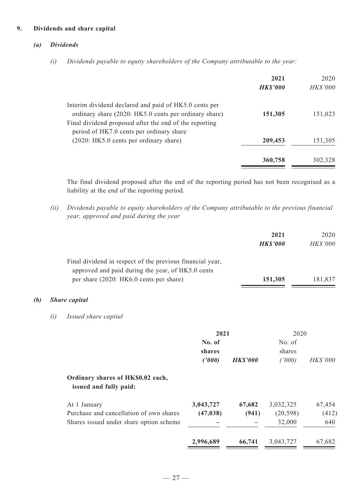#### **9. Dividends and share capital**

#### *(a) Dividends*

*(i) Dividends payable to equity shareholders of the Company attributable to the year:*

|                                                                                                                                                                          | 2021<br><b>HK\$'000</b> | 2020<br><b>HK\$'000</b> |
|--------------------------------------------------------------------------------------------------------------------------------------------------------------------------|-------------------------|-------------------------|
| Interim dividend declared and paid of HK5.0 cents per<br>ordinary share (2020: HK5.0 cents per ordinary share)<br>Final dividend proposed after the end of the reporting | 151,305                 | 151,023                 |
| period of HK7.0 cents per ordinary share<br>(2020: HK5.0 cents per ordinary share)                                                                                       | 209,453                 | 151,305                 |
|                                                                                                                                                                          | 360,758                 | 302,328                 |

The final dividend proposed after the end of the reporting period has not been recognised as a liability at the end of the reporting period.

*(ii) Dividends payable to equity shareholders of the Company attributable to the previous financial year, approved and paid during the year*

|                                                                                              | 2021<br><b>HK\$'000</b> | 2020<br><b>HK\$'000</b> |
|----------------------------------------------------------------------------------------------|-------------------------|-------------------------|
| Final dividend in respect of the previous financial year,                                    |                         |                         |
| approved and paid during the year, of HK5.0 cents<br>per share (2020: HK6.0 cents per share) | 151,305                 | 181,837                 |

## *(b) Share capital*

*(i) Issued share capital*

|                                                             | 2021      |                 | 2020      |                 |
|-------------------------------------------------------------|-----------|-----------------|-----------|-----------------|
|                                                             | No. of    |                 | No. of    |                 |
|                                                             | shares    |                 | shares    |                 |
|                                                             | (2000)    | <b>HK\$'000</b> | (1000)    | <b>HK\$'000</b> |
| Ordinary shares of HK\$0.02 each,<br>issued and fully paid: |           |                 |           |                 |
| At 1 January                                                | 3,043,727 | 67,682          | 3,032,325 | 67,454          |
| Purchase and cancellation of own shares                     | (47, 038) | (941)           | (20, 598) | (412)           |
| Shares issued under share option scheme                     |           |                 | 32,000    | 640             |
|                                                             | 2,996,689 | 66,741          | 3,043,727 | 67,682          |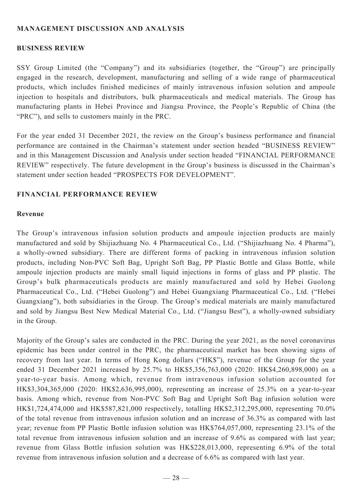## **MANAGEMENT DISCUSSION AND ANALYSIS**

## **BUSINESS REVIEW**

SSY Group Limited (the "Company") and its subsidiaries (together, the "Group") are principally engaged in the research, development, manufacturing and selling of a wide range of pharmaceutical products, which includes finished medicines of mainly intravenous infusion solution and ampoule injection to hospitals and distributors, bulk pharmaceuticals and medical materials. The Group has manufacturing plants in Hebei Province and Jiangsu Province, the People's Republic of China (the "PRC"), and sells to customers mainly in the PRC.

For the year ended 31 December 2021, the review on the Group's business performance and financial performance are contained in the Chairman's statement under section headed "BUSINESS REVIEW" and in this Management Discussion and Analysis under section headed "FINANCIAL PERFORMANCE REVIEW" respectively. The future development in the Group's business is discussed in the Chairman's statement under section headed "PROSPECTS FOR DEVELOPMENT".

## **FINANCIAL PERFORMANCE REVIEW**

#### **Revenue**

The Group's intravenous infusion solution products and ampoule injection products are mainly manufactured and sold by Shijiazhuang No. 4 Pharmaceutical Co., Ltd. ("Shijiazhuang No. 4 Pharma"), a wholly-owned subsidiary. There are different forms of packing in intravenous infusion solution products, including Non-PVC Soft Bag, Upright Soft Bag, PP Plastic Bottle and Glass Bottle, while ampoule injection products are mainly small liquid injections in forms of glass and PP plastic. The Group's bulk pharmaceuticals products are mainly manufactured and sold by Hebei Guolong Pharmaceutical Co., Ltd. ("Hebei Guolong") and Hebei Guangxiang Pharmaceutical Co., Ltd. ("Hebei Guangxiang"), both subsidiaries in the Group. The Group's medical materials are mainly manufactured and sold by Jiangsu Best New Medical Material Co., Ltd. ("Jiangsu Best"), a wholly-owned subsidiary in the Group.

Majority of the Group's sales are conducted in the PRC. During the year 2021, as the novel coronavirus epidemic has been under control in the PRC, the pharmaceutical market has been showing signs of recovery from last year. In terms of Hong Kong dollars ("HK\$"), revenue of the Group for the year ended 31 December 2021 increased by 25.7% to HK\$5,356,763,000 (2020: HK\$4,260,898,000) on a year-to-year basis. Among which, revenue from intravenous infusion solution accounted for HK\$3,304,365,000 (2020: HK\$2,636,995,000), representing an increase of 25.3% on a year-to-year basis. Among which, revenue from Non-PVC Soft Bag and Upright Soft Bag infusion solution were HK\$1,724,474,000 and HK\$587,821,000 respectively, totalling HK\$2,312,295,000, representing 70.0% of the total revenue from intravenous infusion solution and an increase of 36.3% as compared with last year; revenue from PP Plastic Bottle infusion solution was HK\$764,057,000, representing 23.1% of the total revenue from intravenous infusion solution and an increase of 9.6% as compared with last year; revenue from Glass Bottle infusion solution was HK\$228,013,000, representing 6.9% of the total revenue from intravenous infusion solution and a decrease of 6.6% as compared with last year.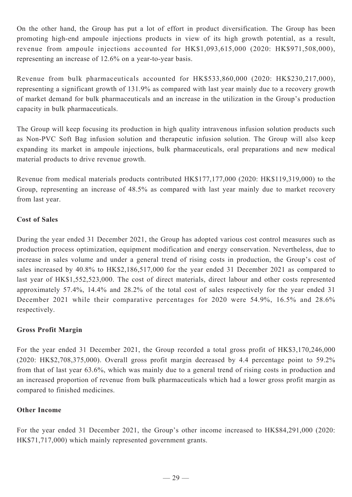On the other hand, the Group has put a lot of effort in product diversification. The Group has been promoting high-end ampoule injections products in view of its high growth potential, as a result, revenue from ampoule injections accounted for HK\$1,093,615,000 (2020: HK\$971,508,000), representing an increase of 12.6% on a year-to-year basis.

Revenue from bulk pharmaceuticals accounted for HK\$533,860,000 (2020: HK\$230,217,000), representing a significant growth of 131.9% as compared with last year mainly due to a recovery growth of market demand for bulk pharmaceuticals and an increase in the utilization in the Group's production capacity in bulk pharmaceuticals.

The Group will keep focusing its production in high quality intravenous infusion solution products such as Non-PVC Soft Bag infusion solution and therapeutic infusion solution. The Group will also keep expanding its market in ampoule injections, bulk pharmaceuticals, oral preparations and new medical material products to drive revenue growth.

Revenue from medical materials products contributed HK\$177,177,000 (2020: HK\$119,319,000) to the Group, representing an increase of 48.5% as compared with last year mainly due to market recovery from last year.

## **Cost of Sales**

During the year ended 31 December 2021, the Group has adopted various cost control measures such as production process optimization, equipment modification and energy conservation. Nevertheless, due to increase in sales volume and under a general trend of rising costs in production, the Group's cost of sales increased by 40.8% to HK\$2,186,517,000 for the year ended 31 December 2021 as compared to last year of HK\$1,552,523,000. The cost of direct materials, direct labour and other costs represented approximately 57.4%, 14.4% and 28.2% of the total cost of sales respectively for the year ended 31 December 2021 while their comparative percentages for 2020 were 54.9%, 16.5% and 28.6% respectively.

## **Gross Profit Margin**

For the year ended 31 December 2021, the Group recorded a total gross profit of HK\$3,170,246,000 (2020: HK\$2,708,375,000). Overall gross profit margin decreased by 4.4 percentage point to 59.2% from that of last year 63.6%, which was mainly due to a general trend of rising costs in production and an increased proportion of revenue from bulk pharmaceuticals which had a lower gross profit margin as compared to finished medicines.

## **Other Income**

For the year ended 31 December 2021, the Group's other income increased to HK\$84,291,000 (2020: HK\$71,717,000) which mainly represented government grants.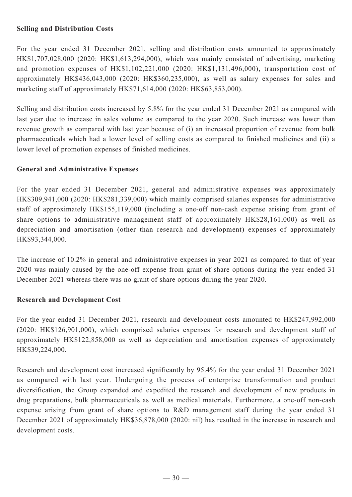## **Selling and Distribution Costs**

For the year ended 31 December 2021, selling and distribution costs amounted to approximately HK\$1,707,028,000 (2020: HK\$1,613,294,000), which was mainly consisted of advertising, marketing and promotion expenses of HK\$1,102,221,000 (2020: HK\$1,131,496,000), transportation cost of approximately HK\$436,043,000 (2020: HK\$360,235,000), as well as salary expenses for sales and marketing staff of approximately HK\$71,614,000 (2020: HK\$63,853,000).

Selling and distribution costs increased by 5.8% for the year ended 31 December 2021 as compared with last year due to increase in sales volume as compared to the year 2020. Such increase was lower than revenue growth as compared with last year because of (i) an increased proportion of revenue from bulk pharmaceuticals which had a lower level of selling costs as compared to finished medicines and (ii) a lower level of promotion expenses of finished medicines.

## **General and Administrative Expenses**

For the year ended 31 December 2021, general and administrative expenses was approximately HK\$309,941,000 (2020: HK\$281,339,000) which mainly comprised salaries expenses for administrative staff of approximately HK\$155,119,000 (including a one-off non-cash expense arising from grant of share options to administrative management staff of approximately HK\$28,161,000) as well as depreciation and amortisation (other than research and development) expenses of approximately HK\$93,344,000.

The increase of 10.2% in general and administrative expenses in year 2021 as compared to that of year 2020 was mainly caused by the one-off expense from grant of share options during the year ended 31 December 2021 whereas there was no grant of share options during the year 2020.

## **Research and Development Cost**

For the year ended 31 December 2021, research and development costs amounted to HK\$247,992,000 (2020: HK\$126,901,000), which comprised salaries expenses for research and development staff of approximately HK\$122,858,000 as well as depreciation and amortisation expenses of approximately HK\$39,224,000.

Research and development cost increased significantly by 95.4% for the year ended 31 December 2021 as compared with last year. Undergoing the process of enterprise transformation and product diversification, the Group expanded and expedited the research and development of new products in drug preparations, bulk pharmaceuticals as well as medical materials. Furthermore, a one-off non-cash expense arising from grant of share options to R&D management staff during the year ended 31 December 2021 of approximately HK\$36,878,000 (2020: nil) has resulted in the increase in research and development costs.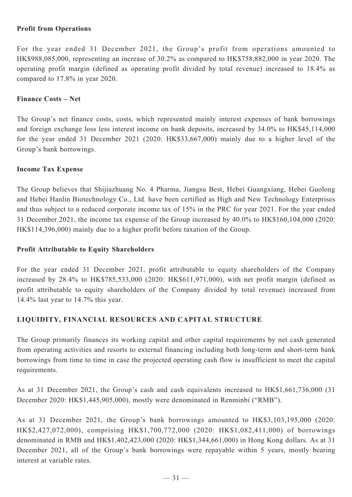## **Profit from Operations**

For the year ended 31 December 2021, the Group's profit from operations amounted to HK\$988,085,000, representing an increase of 30.2% as compared to HK\$758,882,000 in year 2020. The operating profit margin (defined as operating profit divided by total revenue) increased to 18.4% as compared to 17.8% in year 2020.

#### **Finance Costs – Net**

The Group's net finance costs, costs, which represented mainly interest expenses of bank borrowings and foreign exchange loss less interest income on bank deposits, increased by 34.0% to HK\$45,114,000 for the year ended 31 December 2021 (2020: HK\$33,667,000) mainly due to a higher level of the Group's bank borrowings.

#### **Income Tax Expense**

The Group believes that Shijiazhuang No. 4 Pharma, Jiangsu Best, Hebei Guangxiang, Hebei Guolong and Hebei Hanlin Biotechnology Co., Ltd. have been certified as High and New Technology Enterprises and thus subject to a reduced corporate income tax of 15% in the PRC for year 2021. For the year ended 31 December 2021, the income tax expense of the Group increased by 40.0% to HK\$160,104,000 (2020: HK\$114,396,000) mainly due to a higher profit before taxation of the Group.

#### **Profit Attributable to Equity Shareholders**

For the year ended 31 December 2021, profit attributable to equity shareholders of the Company increased by 28.4% to HK\$785,533,000 (2020: HK\$611,971,000), with net profit margin (defined as profit attributable to equity shareholders of the Company divided by total revenue) increased from 14.4% last year to 14.7% this year.

## **LIQUIDITY, FINANCIAL RESOURCES AND CAPITAL STRUCTURE**

The Group primarily finances its working capital and other capital requirements by net cash generated from operating activities and resorts to external financing including both long-term and short-term bank borrowings from time to time in case the projected operating cash flow is insufficient to meet the capital requirements.

As at 31 December 2021, the Group's cash and cash equivalents increased to HK\$1,661,736,000 (31 December 2020: HK\$1,445,905,000), mostly were denominated in Renminbi ("RMB").

As at 31 December 2021, the Group's bank borrowings amounted to HK\$3,103,195,000 (2020: HK\$2,427,072,000), comprising HK\$1,700,772,000 (2020: HK\$1,082,411,000) of borrowings denominated in RMB and HK\$1,402,423,000 (2020: HK\$1,344,661,000) in Hong Kong dollars. As at 31 December 2021, all of the Group's bank borrowings were repayable within 5 years, mostly bearing interest at variable rates.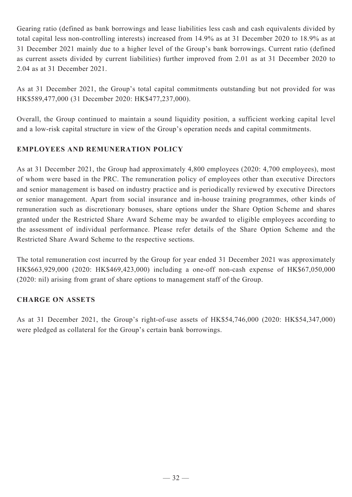Gearing ratio (defined as bank borrowings and lease liabilities less cash and cash equivalents divided by total capital less non-controlling interests) increased from 14.9% as at 31 December 2020 to 18.9% as at 31 December 2021 mainly due to a higher level of the Group's bank borrowings. Current ratio (defined as current assets divided by current liabilities) further improved from 2.01 as at 31 December 2020 to 2.04 as at 31 December 2021.

As at 31 December 2021, the Group's total capital commitments outstanding but not provided for was HK\$589,477,000 (31 December 2020: HK\$477,237,000).

Overall, the Group continued to maintain a sound liquidity position, a sufficient working capital level and a low-risk capital structure in view of the Group's operation needs and capital commitments.

## **EMPLOYEES AND REMUNERATION POLICY**

As at 31 December 2021, the Group had approximately 4,800 employees (2020: 4,700 employees), most of whom were based in the PRC. The remuneration policy of employees other than executive Directors and senior management is based on industry practice and is periodically reviewed by executive Directors or senior management. Apart from social insurance and in-house training programmes, other kinds of remuneration such as discretionary bonuses, share options under the Share Option Scheme and shares granted under the Restricted Share Award Scheme may be awarded to eligible employees according to the assessment of individual performance. Please refer details of the Share Option Scheme and the Restricted Share Award Scheme to the respective sections.

The total remuneration cost incurred by the Group for year ended 31 December 2021 was approximately HK\$663,929,000 (2020: HK\$469,423,000) including a one-off non-cash expense of HK\$67,050,000 (2020: nil) arising from grant of share options to management staff of the Group.

## **CHARGE ON ASSETS**

As at 31 December 2021, the Group's right-of-use assets of HK\$54,746,000 (2020: HK\$54,347,000) were pledged as collateral for the Group's certain bank borrowings.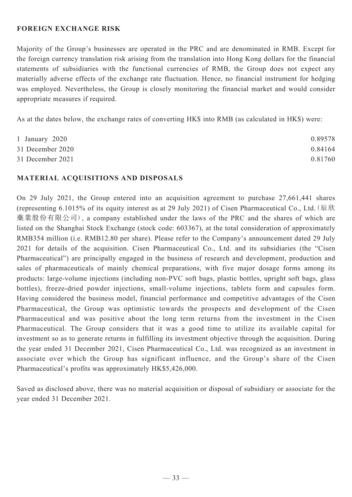## **FOREIGN EXCHANGE RISK**

Majority of the Group's businesses are operated in the PRC and are denominated in RMB. Except for the foreign currency translation risk arising from the translation into Hong Kong dollars for the financial statements of subsidiaries with the functional currencies of RMB, the Group does not expect any materially adverse effects of the exchange rate fluctuation. Hence, no financial instrument for hedging was employed. Nevertheless, the Group is closely monitoring the financial market and would consider appropriate measures if required.

As at the dates below, the exchange rates of converting HK\$ into RMB (as calculated in HK\$) were:

| 1 January $2020$ | 0.89578 |
|------------------|---------|
| 31 December 2020 | 0.84164 |
| 31 December 2021 | 0.81760 |

## **MATERIAL ACQUISITIONS AND DISPOSALS**

On 29 July 2021, the Group entered into an acquisition agreement to purchase 27,661,441 shares (representing 6.1015% of its equity interest as at 29 July 2021) of Cisen Pharmaceutical Co., Ltd.(辰欣 藥業股份有限公司), a company established under the laws of the PRC and the shares of which are listed on the Shanghai Stock Exchange (stock code: 603367), at the total consideration of approximately RMB354 million (i.e. RMB12.80 per share). Please refer to the Company's announcement dated 29 July 2021 for details of the acquisition. Cisen Pharmaceutical Co., Ltd. and its subsidiaries (the "Cisen Pharmaceutical") are principally engaged in the business of research and development, production and sales of pharmaceuticals of mainly chemical preparations, with five major dosage forms among its products: large-volume injections (including non-PVC soft bags, plastic bottles, upright soft bags, glass bottles), freeze-dried powder injections, small-volume injections, tablets form and capsules form. Having considered the business model, financial performance and competitive advantages of the Cisen Pharmaceutical, the Group was optimistic towards the prospects and development of the Cisen Pharmaceutical and was positive about the long term returns from the investment in the Cisen Pharmaceutical. The Group considers that it was a good time to utilize its available capital for investment so as to generate returns in fulfilling its investment objective through the acquisition. During the year ended 31 December 2021, Cisen Pharmaceutical Co., Ltd. was recognized as an investment in associate over which the Group has significant influence, and the Group's share of the Cisen Pharmaceutical's profits was approximately HK\$5,426,000.

Saved as disclosed above, there was no material acquisition or disposal of subsidiary or associate for the year ended 31 December 2021.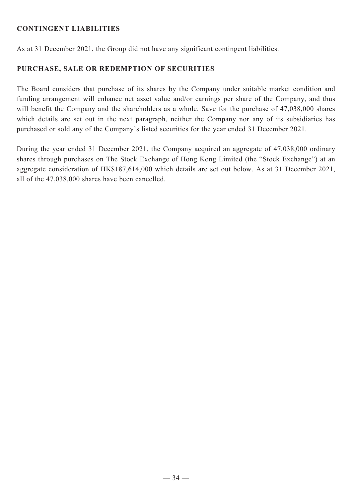## **CONTINGENT LIABILITIES**

As at 31 December 2021, the Group did not have any significant contingent liabilities.

## **PURCHASE, SALE OR REDEMPTION OF SECURITIES**

The Board considers that purchase of its shares by the Company under suitable market condition and funding arrangement will enhance net asset value and/or earnings per share of the Company, and thus will benefit the Company and the shareholders as a whole. Save for the purchase of 47,038,000 shares which details are set out in the next paragraph, neither the Company nor any of its subsidiaries has purchased or sold any of the Company's listed securities for the year ended 31 December 2021.

During the year ended 31 December 2021, the Company acquired an aggregate of 47,038,000 ordinary shares through purchases on The Stock Exchange of Hong Kong Limited (the "Stock Exchange") at an aggregate consideration of HK\$187,614,000 which details are set out below. As at 31 December 2021, all of the 47,038,000 shares have been cancelled.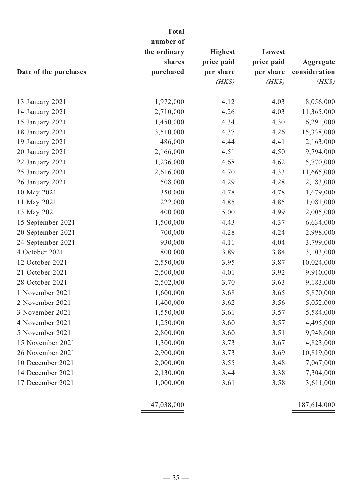|                       | <b>Total</b> |                |            |               |
|-----------------------|--------------|----------------|------------|---------------|
|                       | number of    |                |            |               |
|                       | the ordinary | <b>Highest</b> | Lowest     |               |
|                       | shares       | price paid     | price paid | Aggregate     |
| Date of the purchases | purchased    | per share      | per share  | consideration |
|                       |              | $(HK\$         | $(HK\$     | $(HK\$        |
| 13 January 2021       | 1,972,000    | 4.12           | 4.03       | 8,056,000     |
| 14 January 2021       | 2,710,000    | 4.26           | 4.03       | 11,365,000    |
| 15 January 2021       | 1,450,000    | 4.34           | 4.30       | 6,291,000     |
| 18 January 2021       | 3,510,000    | 4.37           | 4.26       | 15,338,000    |
| 19 January 2021       | 486,000      | 4.44           | 4.41       | 2,163,000     |
| 20 January 2021       | 2,166,000    | 4.51           | 4.50       | 9,794,000     |
| 22 January 2021       | 1,236,000    | 4.68           | 4.62       | 5,770,000     |
| 25 January 2021       | 2,616,000    | 4.70           | 4.33       | 11,665,000    |
| 26 January 2021       | 508,000      | 4.29           | 4.28       | 2,183,000     |
| 10 May 2021           | 350,000      | 4.78           | 4.78       | 1,679,000     |
| 11 May 2021           | 222,000      | 4.85           | 4.85       | 1,081,000     |
| 13 May 2021           | 400,000      | 5.00           | 4.99       | 2,005,000     |
| 15 September 2021     | 1,500,000    | 4.43           | 4.37       | 6,634,000     |
| 20 September 2021     | 700,000      | 4.28           | 4.24       | 2,998,000     |
| 24 September 2021     | 930,000      | 4.11           | 4.04       | 3,799,000     |
| 4 October 2021        | 800,000      | 3.89           | 3.84       | 3,103,000     |
| 12 October 2021       | 2,550,000    | 3.95           | 3.87       | 10,024,000    |
| 21 October 2021       | 2,500,000    | 4.01           | 3.92       | 9,910,000     |
| 28 October 2021       | 2,502,000    | 3.70           | 3.63       | 9,183,000     |
| 1 November 2021       | 1,600,000    | 3.68           | 3.65       | 5,870,000     |
| 2 November 2021       | 1,400,000    | 3.62           | 3.56       | 5,052,000     |
| 3 November 2021       | 1,550,000    | 3.61           | 3.57       | 5,584,000     |
| 4 November 2021       | 1,250,000    | 3.60           | 3.57       | 4,495,000     |
| 5 November 2021       | 2,800,000    | 3.60           | 3.51       | 9,948,000     |
| 15 November 2021      | 1,300,000    | 3.73           | 3.67       | 4,823,000     |
| 26 November 2021      | 2,900,000    | 3.73           | 3.69       | 10,819,000    |
| 10 December 2021      | 2,000,000    | 3.55           | 3.48       | 7,067,000     |
| 14 December 2021      | 2,130,000    | 3.44           | 3.38       | 7,304,000     |
| 17 December 2021      | 1,000,000    | 3.61           | 3.58       | 3,611,000     |
|                       | 47,038,000   |                |            | 187,614,000   |
|                       |              |                |            |               |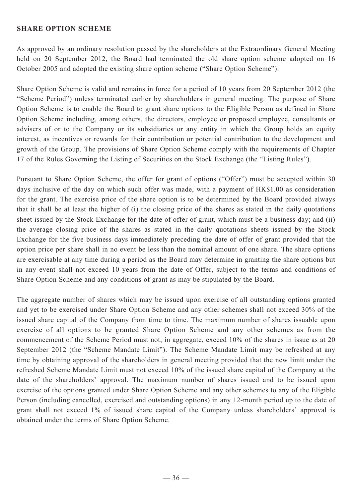#### **SHARE OPTION SCHEME**

As approved by an ordinary resolution passed by the shareholders at the Extraordinary General Meeting held on 20 September 2012, the Board had terminated the old share option scheme adopted on 16 October 2005 and adopted the existing share option scheme ("Share Option Scheme").

Share Option Scheme is valid and remains in force for a period of 10 years from 20 September 2012 (the "Scheme Period") unless terminated earlier by shareholders in general meeting. The purpose of Share Option Scheme is to enable the Board to grant share options to the Eligible Person as defined in Share Option Scheme including, among others, the directors, employee or proposed employee, consultants or advisers of or to the Company or its subsidiaries or any entity in which the Group holds an equity interest, as incentives or rewards for their contribution or potential contribution to the development and growth of the Group. The provisions of Share Option Scheme comply with the requirements of Chapter 17 of the Rules Governing the Listing of Securities on the Stock Exchange (the "Listing Rules").

Pursuant to Share Option Scheme, the offer for grant of options ("Offer") must be accepted within 30 days inclusive of the day on which such offer was made, with a payment of HK\$1.00 as consideration for the grant. The exercise price of the share option is to be determined by the Board provided always that it shall be at least the higher of (i) the closing price of the shares as stated in the daily quotations sheet issued by the Stock Exchange for the date of offer of grant, which must be a business day; and (ii) the average closing price of the shares as stated in the daily quotations sheets issued by the Stock Exchange for the five business days immediately preceding the date of offer of grant provided that the option price per share shall in no event be less than the nominal amount of one share. The share options are exercisable at any time during a period as the Board may determine in granting the share options but in any event shall not exceed 10 years from the date of Offer, subject to the terms and conditions of Share Option Scheme and any conditions of grant as may be stipulated by the Board.

The aggregate number of shares which may be issued upon exercise of all outstanding options granted and yet to be exercised under Share Option Scheme and any other schemes shall not exceed 30% of the issued share capital of the Company from time to time. The maximum number of shares issuable upon exercise of all options to be granted Share Option Scheme and any other schemes as from the commencement of the Scheme Period must not, in aggregate, exceed 10% of the shares in issue as at 20 September 2012 (the "Scheme Mandate Limit"). The Scheme Mandate Limit may be refreshed at any time by obtaining approval of the shareholders in general meeting provided that the new limit under the refreshed Scheme Mandate Limit must not exceed 10% of the issued share capital of the Company at the date of the shareholders' approval. The maximum number of shares issued and to be issued upon exercise of the options granted under Share Option Scheme and any other schemes to any of the Eligible Person (including cancelled, exercised and outstanding options) in any 12-month period up to the date of grant shall not exceed 1% of issued share capital of the Company unless shareholders' approval is obtained under the terms of Share Option Scheme.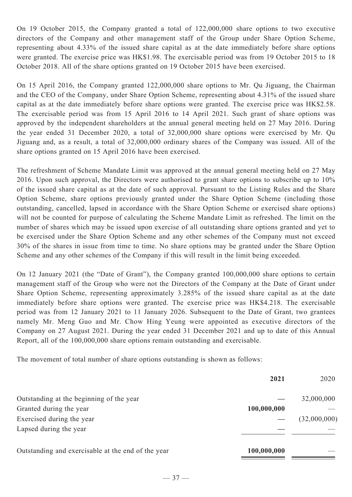On 19 October 2015, the Company granted a total of 122,000,000 share options to two executive directors of the Company and other management staff of the Group under Share Option Scheme, representing about 4.33% of the issued share capital as at the date immediately before share options were granted. The exercise price was HK\$1.98. The exercisable period was from 19 October 2015 to 18 October 2018. All of the share options granted on 19 October 2015 have been exercised.

On 15 April 2016, the Company granted 122,000,000 share options to Mr. Qu Jiguang, the Chairman and the CEO of the Company, under Share Option Scheme, representing about 4.31% of the issued share capital as at the date immediately before share options were granted. The exercise price was HK\$2.58. The exercisable period was from 15 April 2016 to 14 April 2021. Such grant of share options was approved by the independent shareholders at the annual general meeting held on 27 May 2016. During the year ended 31 December 2020, a total of 32,000,000 share options were exercised by Mr. Qu Jiguang and, as a result, a total of 32,000,000 ordinary shares of the Company was issued. All of the share options granted on 15 April 2016 have been exercised.

The refreshment of Scheme Mandate Limit was approved at the annual general meeting held on 27 May 2016. Upon such approval, the Directors were authorised to grant share options to subscribe up to 10% of the issued share capital as at the date of such approval. Pursuant to the Listing Rules and the Share Option Scheme, share options previously granted under the Share Option Scheme (including those outstanding, cancelled, lapsed in accordance with the Share Option Scheme or exercised share options) will not be counted for purpose of calculating the Scheme Mandate Limit as refreshed. The limit on the number of shares which may be issued upon exercise of all outstanding share options granted and yet to be exercised under the Share Option Scheme and any other schemes of the Company must not exceed 30% of the shares in issue from time to time. No share options may be granted under the Share Option Scheme and any other schemes of the Company if this will result in the limit being exceeded.

On 12 January 2021 (the "Date of Grant"), the Company granted 100,000,000 share options to certain management staff of the Group who were not the Directors of the Company at the Date of Grant under Share Option Scheme, representing approximately 3.285% of the issued share capital as at the date immediately before share options were granted. The exercise price was HK\$4.218. The exercisable period was from 12 January 2021 to 11 January 2026. Subsequent to the Date of Grant, two grantees namely Mr. Meng Guo and Mr. Chow Hing Yeung were appointed as executive directors of the Company on 27 August 2021. During the year ended 31 December 2021 and up to date of this Annual Report, all of the 100,000,000 share options remain outstanding and exercisable.

The movement of total number of share options outstanding is shown as follows:

|                                                    | 2021        | 2020         |
|----------------------------------------------------|-------------|--------------|
| Outstanding at the beginning of the year           |             | 32,000,000   |
| Granted during the year                            | 100,000,000 |              |
| Exercised during the year                          |             | (32,000,000) |
| Lapsed during the year                             |             |              |
| Outstanding and exercisable at the end of the year | 100,000,000 |              |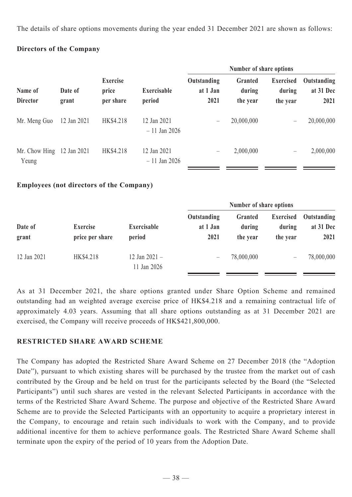The details of share options movements during the year ended 31 December 2021 are shown as follows:

## **Directors of the Company**

|                                      |             |                  |                                       |                          | Number of share options         |                               |                                        |                                  |
|--------------------------------------|-------------|------------------|---------------------------------------|--------------------------|---------------------------------|-------------------------------|----------------------------------------|----------------------------------|
| Name of<br><b>Director</b>           |             | Date of<br>grant | <b>Exercise</b><br>price<br>per share | Exercisable<br>period    | Outstanding<br>at 1 Jan<br>2021 | Granted<br>during<br>the year | <b>Exercised</b><br>during<br>the year | Outstanding<br>at 31 Dec<br>2021 |
| Mr. Meng Guo                         | 12 Jan 2021 | HK\$4.218        | 12 Jan 2021<br>$-11$ Jan 2026         | $\overline{\phantom{0}}$ | 20,000,000                      | —                             | 20,000,000                             |                                  |
| Mr. Chow Hing $12$ Jan 2021<br>Yeung |             | HK\$4.218        | 12 Jan 2021<br>$-11$ Jan 2026         |                          | 2,000,000                       | $\qquad \qquad -$             | 2,000,000                              |                                  |

## **Employees (not directors of the Company)**

| Date of<br>grant |                                    |                                | Number of share options         |                               |                                        |                                  |
|------------------|------------------------------------|--------------------------------|---------------------------------|-------------------------------|----------------------------------------|----------------------------------|
|                  | <b>Exercise</b><br>price per share | Exercisable<br>period          | Outstanding<br>at 1 Jan<br>2021 | Granted<br>during<br>the year | <b>Exercised</b><br>during<br>the year | Outstanding<br>at 31 Dec<br>2021 |
| 12 Jan 2021      | HK\$4.218                          | 12 Jan $2021 -$<br>11 Jan 2026 |                                 | 78,000,000                    |                                        | 78,000,000                       |

As at 31 December 2021, the share options granted under Share Option Scheme and remained outstanding had an weighted average exercise price of HK\$4.218 and a remaining contractual life of approximately 4.03 years. Assuming that all share options outstanding as at 31 December 2021 are exercised, the Company will receive proceeds of HK\$421,800,000.

## **RESTRICTED SHARE AWARD SCHEME**

The Company has adopted the Restricted Share Award Scheme on 27 December 2018 (the "Adoption Date"), pursuant to which existing shares will be purchased by the trustee from the market out of cash contributed by the Group and be held on trust for the participants selected by the Board (the "Selected Participants") until such shares are vested in the relevant Selected Participants in accordance with the terms of the Restricted Share Award Scheme. The purpose and objective of the Restricted Share Award Scheme are to provide the Selected Participants with an opportunity to acquire a proprietary interest in the Company, to encourage and retain such individuals to work with the Company, and to provide additional incentive for them to achieve performance goals. The Restricted Share Award Scheme shall terminate upon the expiry of the period of 10 years from the Adoption Date.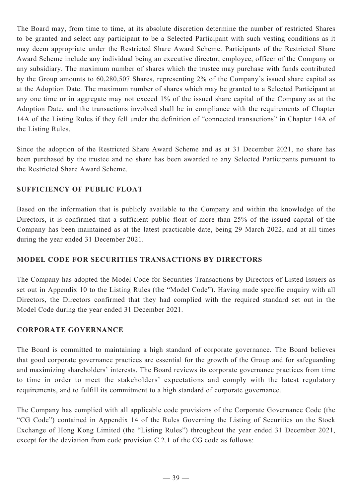The Board may, from time to time, at its absolute discretion determine the number of restricted Shares to be granted and select any participant to be a Selected Participant with such vesting conditions as it may deem appropriate under the Restricted Share Award Scheme. Participants of the Restricted Share Award Scheme include any individual being an executive director, employee, officer of the Company or any subsidiary. The maximum number of shares which the trustee may purchase with funds contributed by the Group amounts to 60,280,507 Shares, representing 2% of the Company's issued share capital as at the Adoption Date. The maximum number of shares which may be granted to a Selected Participant at any one time or in aggregate may not exceed 1% of the issued share capital of the Company as at the Adoption Date, and the transactions involved shall be in compliance with the requirements of Chapter 14A of the Listing Rules if they fell under the definition of "connected transactions" in Chapter 14A of the Listing Rules.

Since the adoption of the Restricted Share Award Scheme and as at 31 December 2021, no share has been purchased by the trustee and no share has been awarded to any Selected Participants pursuant to the Restricted Share Award Scheme.

## **SUFFICIENCY OF PUBLIC FLOAT**

Based on the information that is publicly available to the Company and within the knowledge of the Directors, it is confirmed that a sufficient public float of more than 25% of the issued capital of the Company has been maintained as at the latest practicable date, being 29 March 2022, and at all times during the year ended 31 December 2021.

## **MODEL CODE FOR SECURITIES TRANSACTIONS BY DIRECTORS**

The Company has adopted the Model Code for Securities Transactions by Directors of Listed Issuers as set out in Appendix 10 to the Listing Rules (the "Model Code"). Having made specific enquiry with all Directors, the Directors confirmed that they had complied with the required standard set out in the Model Code during the year ended 31 December 2021.

## **CORPORATE GOVERNANCE**

The Board is committed to maintaining a high standard of corporate governance. The Board believes that good corporate governance practices are essential for the growth of the Group and for safeguarding and maximizing shareholders' interests. The Board reviews its corporate governance practices from time to time in order to meet the stakeholders' expectations and comply with the latest regulatory requirements, and to fulfill its commitment to a high standard of corporate governance.

The Company has complied with all applicable code provisions of the Corporate Governance Code (the "CG Code") contained in Appendix 14 of the Rules Governing the Listing of Securities on the Stock Exchange of Hong Kong Limited (the "Listing Rules") throughout the year ended 31 December 2021, except for the deviation from code provision C.2.1 of the CG code as follows: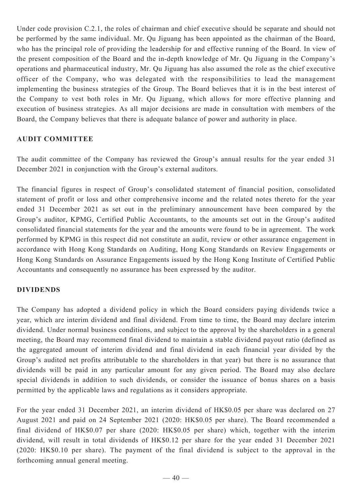Under code provision C.2.1, the roles of chairman and chief executive should be separate and should not be performed by the same individual. Mr. Qu Jiguang has been appointed as the chairman of the Board, who has the principal role of providing the leadership for and effective running of the Board. In view of the present composition of the Board and the in-depth knowledge of Mr. Qu Jiguang in the Company's operations and pharmaceutical industry, Mr. Qu Jiguang has also assumed the role as the chief executive officer of the Company, who was delegated with the responsibilities to lead the management implementing the business strategies of the Group. The Board believes that it is in the best interest of the Company to vest both roles in Mr. Qu Jiguang, which allows for more effective planning and execution of business strategies. As all major decisions are made in consultation with members of the Board, the Company believes that there is adequate balance of power and authority in place.

## **AUDIT COMMITTEE**

The audit committee of the Company has reviewed the Group's annual results for the year ended 31 December 2021 in conjunction with the Group's external auditors.

The financial figures in respect of Group's consolidated statement of financial position, consolidated statement of profit or loss and other comprehensive income and the related notes thereto for the year ended 31 December 2021 as set out in the preliminary announcement have been compared by the Group's auditor, KPMG, Certified Public Accountants, to the amounts set out in the Group's audited consolidated financial statements for the year and the amounts were found to be in agreement. The work performed by KPMG in this respect did not constitute an audit, review or other assurance engagement in accordance with Hong Kong Standards on Auditing, Hong Kong Standards on Review Engagements or Hong Kong Standards on Assurance Engagements issued by the Hong Kong Institute of Certified Public Accountants and consequently no assurance has been expressed by the auditor.

## **DIVIDENDS**

The Company has adopted a dividend policy in which the Board considers paying dividends twice a year, which are interim dividend and final dividend. From time to time, the Board may declare interim dividend. Under normal business conditions, and subject to the approval by the shareholders in a general meeting, the Board may recommend final dividend to maintain a stable dividend payout ratio (defined as the aggregated amount of interim dividend and final dividend in each financial year divided by the Group's audited net profits attributable to the shareholders in that year) but there is no assurance that dividends will be paid in any particular amount for any given period. The Board may also declare special dividends in addition to such dividends, or consider the issuance of bonus shares on a basis permitted by the applicable laws and regulations as it considers appropriate.

For the year ended 31 December 2021, an interim dividend of HK\$0.05 per share was declared on 27 August 2021 and paid on 24 September 2021 (2020: HK\$0.05 per share). The Board recommended a final dividend of HK\$0.07 per share (2020: HK\$0.05 per share) which, together with the interim dividend, will result in total dividends of HK\$0.12 per share for the year ended 31 December 2021 (2020: HK\$0.10 per share). The payment of the final dividend is subject to the approval in the forthcoming annual general meeting.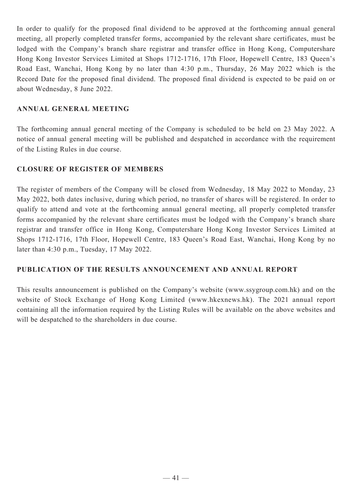In order to qualify for the proposed final dividend to be approved at the forthcoming annual general meeting, all properly completed transfer forms, accompanied by the relevant share certificates, must be lodged with the Company's branch share registrar and transfer office in Hong Kong, Computershare Hong Kong Investor Services Limited at Shops 1712-1716, 17th Floor, Hopewell Centre, 183 Queen's Road East, Wanchai, Hong Kong by no later than 4:30 p.m., Thursday, 26 May 2022 which is the Record Date for the proposed final dividend. The proposed final dividend is expected to be paid on or about Wednesday, 8 June 2022.

## **ANNUAL GENERAL MEETING**

The forthcoming annual general meeting of the Company is scheduled to be held on 23 May 2022. A notice of annual general meeting will be published and despatched in accordance with the requirement of the Listing Rules in due course.

## **CLOSURE OF REGISTER OF MEMBERS**

The register of members of the Company will be closed from Wednesday, 18 May 2022 to Monday, 23 May 2022, both dates inclusive, during which period, no transfer of shares will be registered. In order to qualify to attend and vote at the forthcoming annual general meeting, all properly completed transfer forms accompanied by the relevant share certificates must be lodged with the Company's branch share registrar and transfer office in Hong Kong, Computershare Hong Kong Investor Services Limited at Shops 1712-1716, 17th Floor, Hopewell Centre, 183 Queen's Road East, Wanchai, Hong Kong by no later than 4:30 p.m., Tuesday, 17 May 2022.

## **PUBLICATION OF THE RESULTS ANNOUNCEMENT AND ANNUAL REPORT**

This results announcement is published on the Company's website (www.ssygroup.com.hk) and on the website of Stock Exchange of Hong Kong Limited (www.hkexnews.hk). The 2021 annual report containing all the information required by the Listing Rules will be available on the above websites and will be despatched to the shareholders in due course.